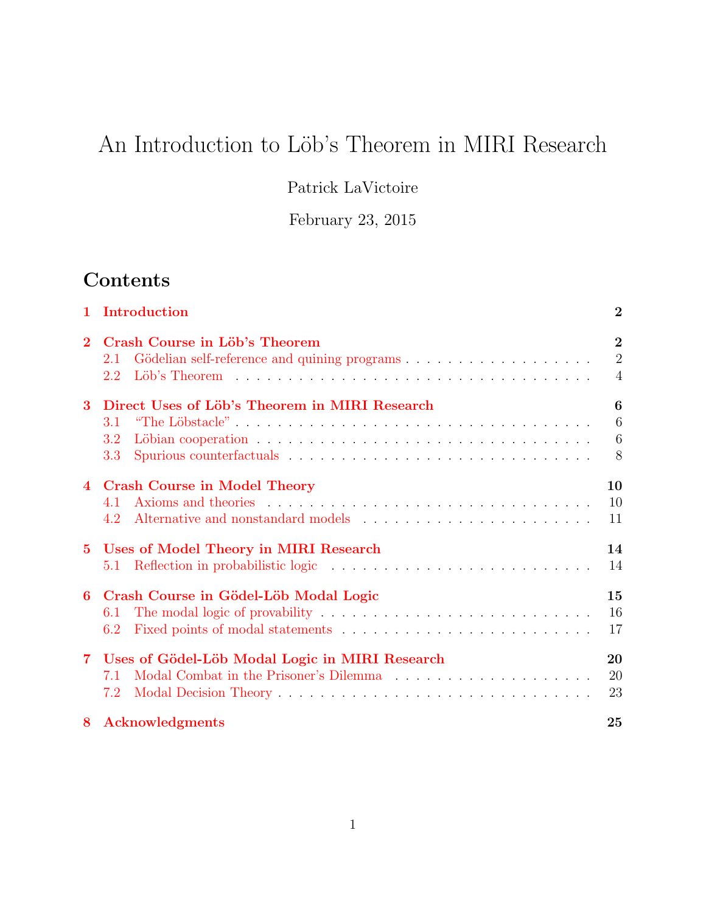# An Introduction to Löb's Theorem in MIRI Research

Patrick LaVictoire

February 23, 2015

## Contents

|                | 1 Introduction                                                     | $\overline{2}$                                     |
|----------------|--------------------------------------------------------------------|----------------------------------------------------|
| $\overline{2}$ | Crash Course in Löb's Theorem<br>2.1<br>2.2                        | $\overline{2}$<br>$\overline{2}$<br>$\overline{4}$ |
| 3              | Direct Uses of Löb's Theorem in MIRI Research<br>3.1<br>3.2<br>3.3 | 6<br>6<br>6<br>8                                   |
| $\overline{4}$ | <b>Crash Course in Model Theory</b><br>4.1<br>4.2                  | 10<br>10<br>11                                     |
| $5^{\circ}$    | Uses of Model Theory in MIRI Research<br>5.1                       | 14<br>14                                           |
| 6              | Crash Course in Gödel-Löb Modal Logic<br>6.1<br>6.2                | 15<br>16<br>17                                     |
| $\mathbf 7$    | Uses of Gödel-Löb Modal Logic in MIRI Research<br>7.1<br>7.2       | 20<br>20<br>23                                     |
| 8              | Acknowledgments                                                    | 25                                                 |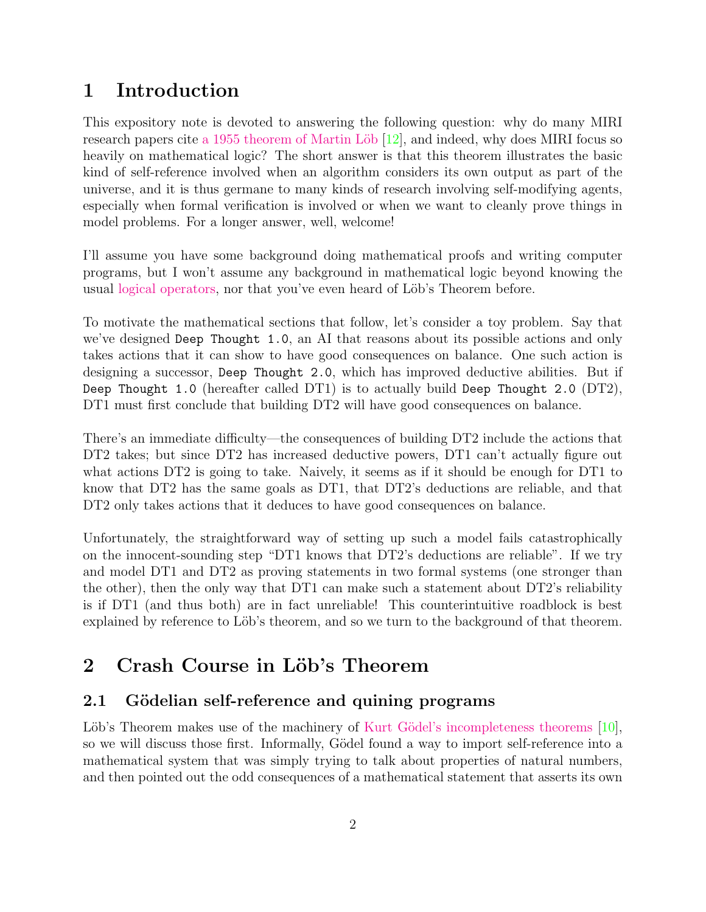## <span id="page-1-0"></span>1 Introduction

This expository note is devoted to answering the following question: why do many MIRI research papers cite a 1955 theorem of Martin Löb [\[12\]](#page-25-0), and indeed, why does MIRI focus so heavily on mathematical logic? The short answer is that this theorem illustrates the basic kind of self-reference involved when an algorithm considers its own output as part of the universe, and it is thus germane to many kinds of research involving self-modifying agents, especially when formal verification is involved or when we want to cleanly prove things in model problems. For a longer answer, well, welcome!

I'll assume you have some background doing mathematical proofs and writing computer programs, but I won't assume any background in mathematical logic beyond knowing the usual [logical operators,](http://en.wikipedia.org/wiki/Logical_constant) nor that you've even heard of Löb's Theorem before.

To motivate the mathematical sections that follow, let's consider a toy problem. Say that we've designed Deep Thought 1.0, an AI that reasons about its possible actions and only takes actions that it can show to have good consequences on balance. One such action is designing a successor, Deep Thought 2.0, which has improved deductive abilities. But if Deep Thought 1.0 (hereafter called DT1) is to actually build Deep Thought 2.0 (DT2), DT1 must first conclude that building DT2 will have good consequences on balance.

There's an immediate difficulty—the consequences of building DT2 include the actions that DT2 takes; but since DT2 has increased deductive powers, DT1 can't actually figure out what actions DT2 is going to take. Naively, it seems as if it should be enough for DT1 to know that DT2 has the same goals as DT1, that DT2's deductions are reliable, and that DT2 only takes actions that it deduces to have good consequences on balance.

Unfortunately, the straightforward way of setting up such a model fails catastrophically on the innocent-sounding step "DT1 knows that DT2's deductions are reliable". If we try and model DT1 and DT2 as proving statements in two formal systems (one stronger than the other), then the only way that DT1 can make such a statement about DT2's reliability is if DT1 (and thus both) are in fact unreliable! This counterintuitive roadblock is best explained by reference to Löb's theorem, and so we turn to the background of that theorem.

## <span id="page-1-1"></span>2 Crash Course in Löb's Theorem

### <span id="page-1-2"></span>2.1 Gödelian self-reference and quining programs

Löb's Theorem makes use of the machinery of Kurt Gödel's incompleteness theorems  $[10]$ , so we will discuss those first. Informally, Gödel found a way to import self-reference into a mathematical system that was simply trying to talk about properties of natural numbers, and then pointed out the odd consequences of a mathematical statement that asserts its own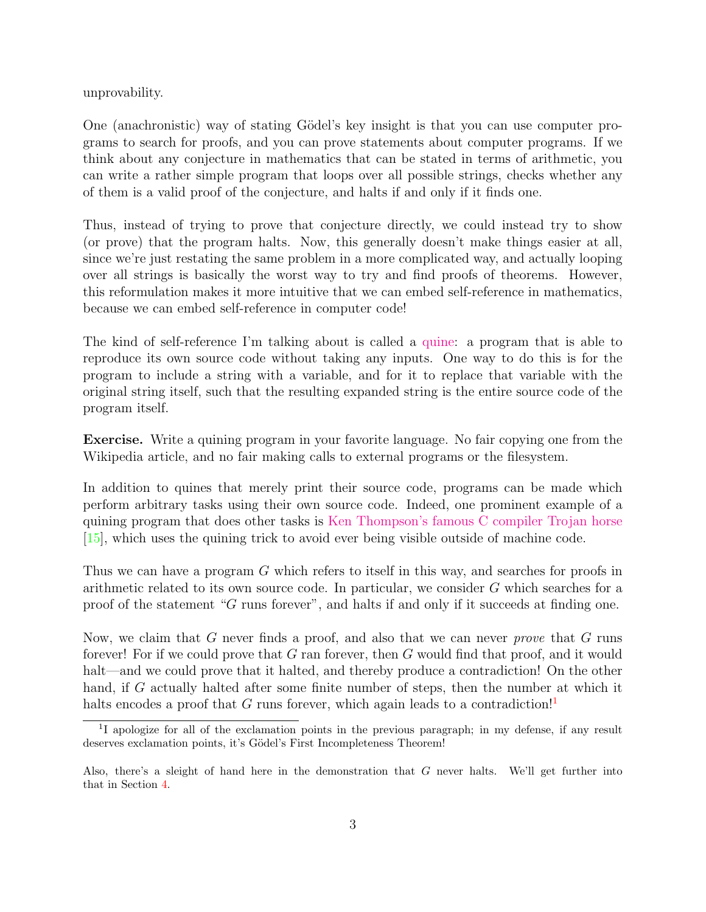unprovability.

One (anachronistic) way of stating Gödel's key insight is that you can use computer programs to search for proofs, and you can prove statements about computer programs. If we think about any conjecture in mathematics that can be stated in terms of arithmetic, you can write a rather simple program that loops over all possible strings, checks whether any of them is a valid proof of the conjecture, and halts if and only if it finds one.

Thus, instead of trying to prove that conjecture directly, we could instead try to show (or prove) that the program halts. Now, this generally doesn't make things easier at all, since we're just restating the same problem in a more complicated way, and actually looping over all strings is basically the worst way to try and find proofs of theorems. However, this reformulation makes it more intuitive that we can embed self-reference in mathematics, because we can embed self-reference in computer code!

The kind of self-reference I'm talking about is called a [quine:](http://en.wikipedia.org/wiki/Quine_(computing)) a program that is able to reproduce its own source code without taking any inputs. One way to do this is for the program to include a string with a variable, and for it to replace that variable with the original string itself, such that the resulting expanded string is the entire source code of the program itself.

Exercise. Write a quining program in your favorite language. No fair copying one from the Wikipedia article, and no fair making calls to external programs or the filesystem.

In addition to quines that merely print their source code, programs can be made which perform arbitrary tasks using their own source code. Indeed, one prominent example of a quining program that does other tasks is [Ken Thompson's famous C compiler Trojan horse](http://en.wikipedia.org/wiki/Backdoor_(computing)#Compiler_backdoors) [\[15\]](#page-26-0), which uses the quining trick to avoid ever being visible outside of machine code.

Thus we can have a program G which refers to itself in this way, and searches for proofs in arithmetic related to its own source code. In particular, we consider G which searches for a proof of the statement "G runs forever", and halts if and only if it succeeds at finding one.

Now, we claim that G never finds a proof, and also that we can never *prove* that G runs forever! For if we could prove that G ran forever, then G would find that proof, and it would halt—and we could prove that it halted, and thereby produce a contradiction! On the other hand, if G actually halted after some finite number of steps, then the number at which it halts encodes a proof that G runs forever, which again leads to a contradiction!<sup>[1](#page-2-0)</sup>

<span id="page-2-0"></span><sup>&</sup>lt;sup>1</sup>I apologize for all of the exclamation points in the previous paragraph; in my defense, if any result deserves exclamation points, it's Gödel's First Incompleteness Theorem!

Also, there's a sleight of hand here in the demonstration that G never halts. We'll get further into that in Section [4.](#page-9-0)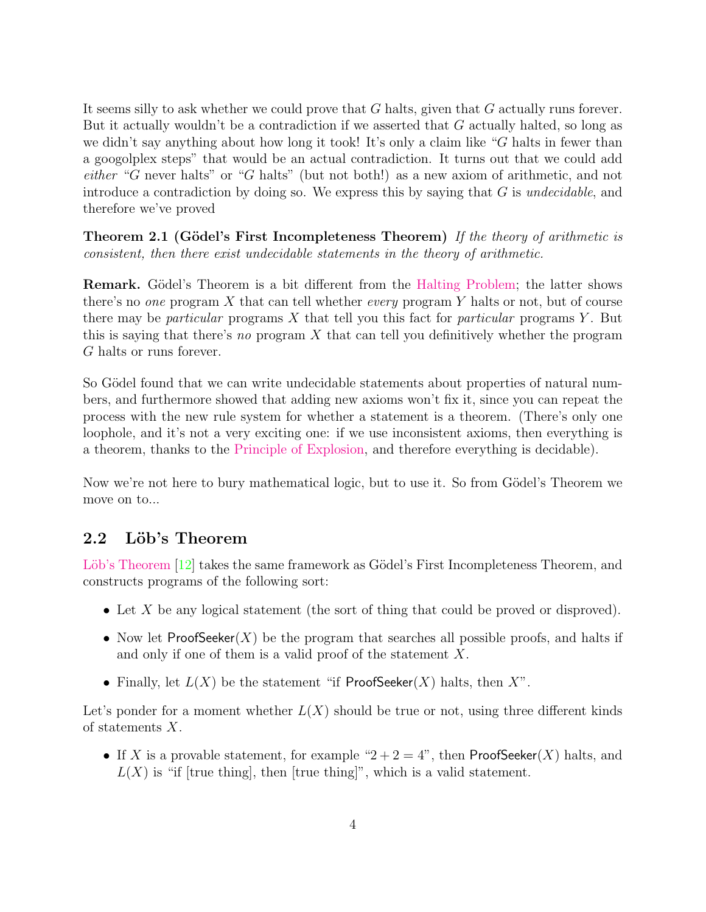It seems silly to ask whether we could prove that G halts, given that G actually runs forever. But it actually wouldn't be a contradiction if we asserted that  $G$  actually halted, so long as we didn't say anything about how long it took! It's only a claim like "G halts in fewer than a googolplex steps" that would be an actual contradiction. It turns out that we could add either "G never halts" or "G halts" (but not both!) as a new axiom of arithmetic, and not introduce a contradiction by doing so. We express this by saying that  $G$  is *undecidable*, and therefore we've proved

**Theorem 2.1 (Gödel's First Incompleteness Theorem)** If the theory of arithmetic is consistent, then there exist undecidable statements in the theory of arithmetic.

**Remark.** Gödel's Theorem is a bit different from the [Halting Problem;](http://en.wikipedia.org/wiki/Halting_problem) the latter shows there's no one program X that can tell whether every program Y halts or not, but of course there may be *particular* programs X that tell you this fact for *particular* programs Y. But this is saying that there's no program  $X$  that can tell you definitively whether the program G halts or runs forever.

So Gödel found that we can write undecidable statements about properties of natural numbers, and furthermore showed that adding new axioms won't fix it, since you can repeat the process with the new rule system for whether a statement is a theorem. (There's only one loophole, and it's not a very exciting one: if we use inconsistent axioms, then everything is a theorem, thanks to the [Principle of Explosion,](http://en.wikipedia.org/wiki/Principle_of_explosion) and therefore everything is decidable).

Now we're not here to bury mathematical logic, but to use it. So from Gödel's Theorem we move on to...

### <span id="page-3-0"></span>2.2 Löb's Theorem

Löb's Theorem [\[12\]](#page-25-0) takes the same framework as Gödel's First Incompleteness Theorem, and constructs programs of the following sort:

- Let X be any logical statement (the sort of thing that could be proved or disproved).
- Now let  $ProofSeeker(X)$  be the program that searches all possible proofs, and halts if and only if one of them is a valid proof of the statement X.
- Finally, let  $L(X)$  be the statement "if ProofSeeker(X) halts, then  $X$ ".

Let's ponder for a moment whether  $L(X)$  should be true or not, using three different kinds of statements X.

• If X is a provable statement, for example " $2+2=4$ ", then ProofSeeker(X) halts, and  $L(X)$  is "if [true thing], then [true thing]", which is a valid statement.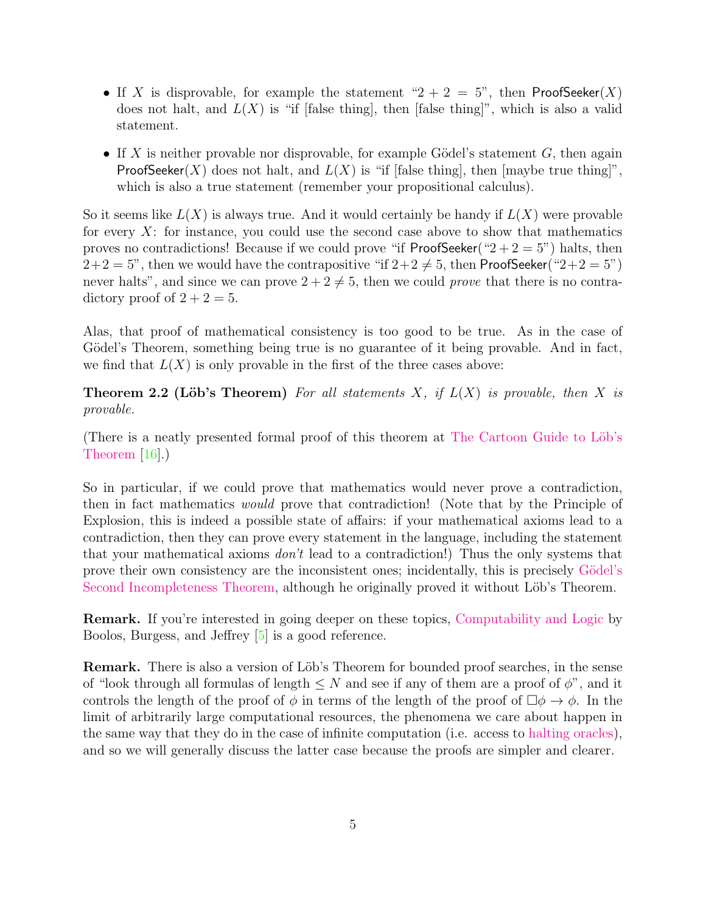- If X is disprovable, for example the statement " $2 + 2 = 5$ ", then ProofSeeker(X) does not halt, and  $L(X)$  is "if [false thing], then [false thing]", which is also a valid statement.
- If X is neither provable nor disprovable, for example Gödel's statement  $G$ , then again **ProofSeeker**(X) does not halt, and  $L(X)$  is "if [false thing], then [maybe true thing]", which is also a true statement (remember your propositional calculus).

So it seems like  $L(X)$  is always true. And it would certainly be handy if  $L(X)$  were provable for every  $X$ : for instance, you could use the second case above to show that mathematics proves no contradictions! Because if we could prove "if ProofSeeker(" $2 + 2 = 5$ ") halts, then  $2+2=5$ ", then we would have the contrapositive "if  $2+2\neq 5$ , then ProofSeeker(" $2+2=5$ ") never halts", and since we can prove  $2 + 2 \neq 5$ , then we could prove that there is no contradictory proof of  $2 + 2 = 5$ .

Alas, that proof of mathematical consistency is too good to be true. As in the case of Gödel's Theorem, something being true is no guarantee of it being provable. And in fact, we find that  $L(X)$  is only provable in the first of the three cases above:

**Theorem 2.2 (Löb's Theorem)** For all statements X, if  $L(X)$  is provable, then X is provable.

(There is a neatly presented formal proof of this theorem at The Cartoon Guide to Löb's [Theorem](http://yudkowsky.net/assets/pdf/LobsTheorem.pdf) [\[16\]](#page-26-1).)

So in particular, if we could prove that mathematics would never prove a contradiction, then in fact mathematics would prove that contradiction! (Note that by the Principle of Explosion, this is indeed a possible state of affairs: if your mathematical axioms lead to a contradiction, then they can prove every statement in the language, including the statement that your mathematical axioms don't lead to a contradiction!) Thus the only systems that prove their own consistency are the inconsistent ones; incidentally, this is precisely Gödel's [Second Incompleteness Theorem,](http://en.wikipedia.org/wiki/G%C3%B6del%27s_incompleteness_theorems#Second_incompleteness_theorem) although he originally proved it without Löb's Theorem.

**Remark.** If you're interested in going deeper on these topics, [Computability and Logic](http://www.cambridge.org/us/academic/subjects/philosophy/logic/computability-and-logic-5th-edition) by Boolos, Burgess, and Jeffrey [\[5\]](#page-25-2) is a good reference.

**Remark.** There is also a version of Löb's Theorem for bounded proof searches, in the sense of "look through all formulas of length  $\leq N$  and see if any of them are a proof of  $\phi$ ", and it controls the length of the proof of  $\phi$  in terms of the length of the proof of  $\Box \phi \rightarrow \phi$ . In the limit of arbitrarily large computational resources, the phenomena we care about happen in the same way that they do in the case of infinite computation (i.e. access to [halting oracles\)](http://en.wikipedia.org/wiki/Oracle_machine), and so we will generally discuss the latter case because the proofs are simpler and clearer.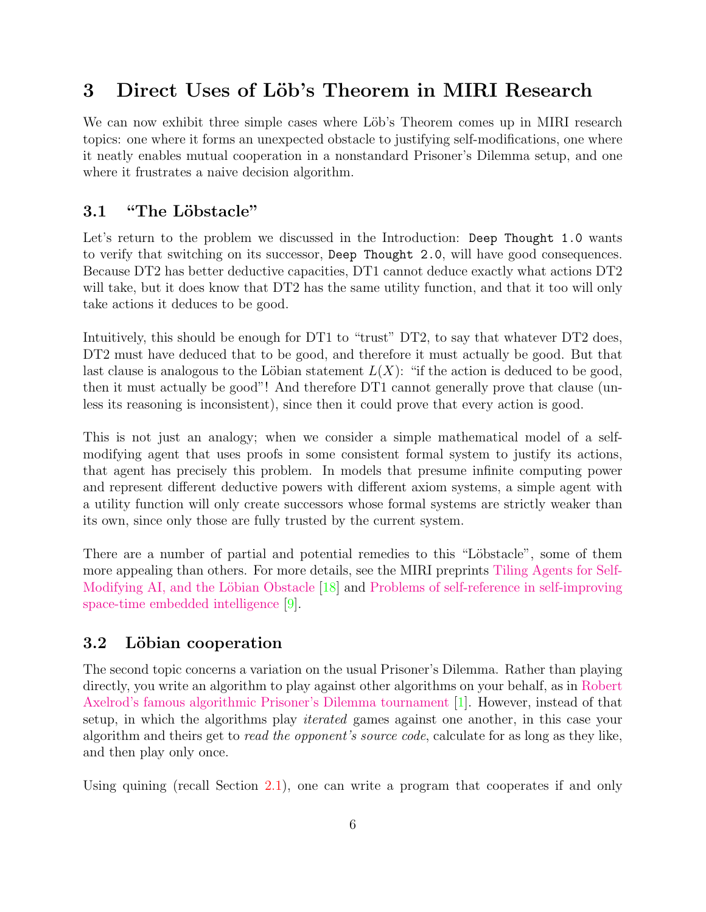## <span id="page-5-0"></span>3 Direct Uses of Löb's Theorem in MIRI Research

We can now exhibit three simple cases where Löb's Theorem comes up in MIRI research topics: one where it forms an unexpected obstacle to justifying self-modifications, one where it neatly enables mutual cooperation in a nonstandard Prisoner's Dilemma setup, and one where it frustrates a naive decision algorithm.

### <span id="page-5-1"></span>3.1 "The Löbstacle"

Let's return to the problem we discussed in the Introduction: Deep Thought 1.0 wants to verify that switching on its successor, Deep Thought 2.0, will have good consequences. Because DT2 has better deductive capacities, DT1 cannot deduce exactly what actions DT2 will take, but it does know that DT2 has the same utility function, and that it too will only take actions it deduces to be good.

Intuitively, this should be enough for DT1 to "trust" DT2, to say that whatever DT2 does, DT2 must have deduced that to be good, and therefore it must actually be good. But that last clause is analogous to the Löbian statement  $L(X)$ : "if the action is deduced to be good, then it must actually be good"! And therefore DT1 cannot generally prove that clause (unless its reasoning is inconsistent), since then it could prove that every action is good.

This is not just an analogy; when we consider a simple mathematical model of a selfmodifying agent that uses proofs in some consistent formal system to justify its actions, that agent has precisely this problem. In models that presume infinite computing power and represent different deductive powers with different axiom systems, a simple agent with a utility function will only create successors whose formal systems are strictly weaker than its own, since only those are fully trusted by the current system.

There are a number of partial and potential remedies to this "Löbstacle", some of them more appealing than others. For more details, see the MIRI preprints [Tiling Agents for Self-](http://intelligence.org/files/TilingAgentsDraft.pdf)Modifying AI, and the Löbian Obstacle [\[18\]](#page-26-2) and [Problems of self-reference in self-improving](http://intelligence.org/files/ProblemsSelfReference.pdf) [space-time embedded intelligence](http://intelligence.org/files/ProblemsSelfReference.pdf) [\[9\]](#page-25-3).

### <span id="page-5-2"></span>3.2 Löbian cooperation

The second topic concerns a variation on the usual Prisoner's Dilemma. Rather than playing directly, you write an algorithm to play against other algorithms on your behalf, as in [Robert](http://en.wikipedia.org/wiki/Prisoner%27s_dilemma#The_iterated_prisoners.27_dilemma) [Axelrod's famous algorithmic Prisoner's Dilemma tournament](http://en.wikipedia.org/wiki/Prisoner%27s_dilemma#The_iterated_prisoners.27_dilemma) [\[1\]](#page-25-4). However, instead of that setup, in which the algorithms play iterated games against one another, in this case your algorithm and theirs get to read the opponent's source code, calculate for as long as they like, and then play only once.

Using quining (recall Section [2.1\)](#page-1-2), one can write a program that cooperates if and only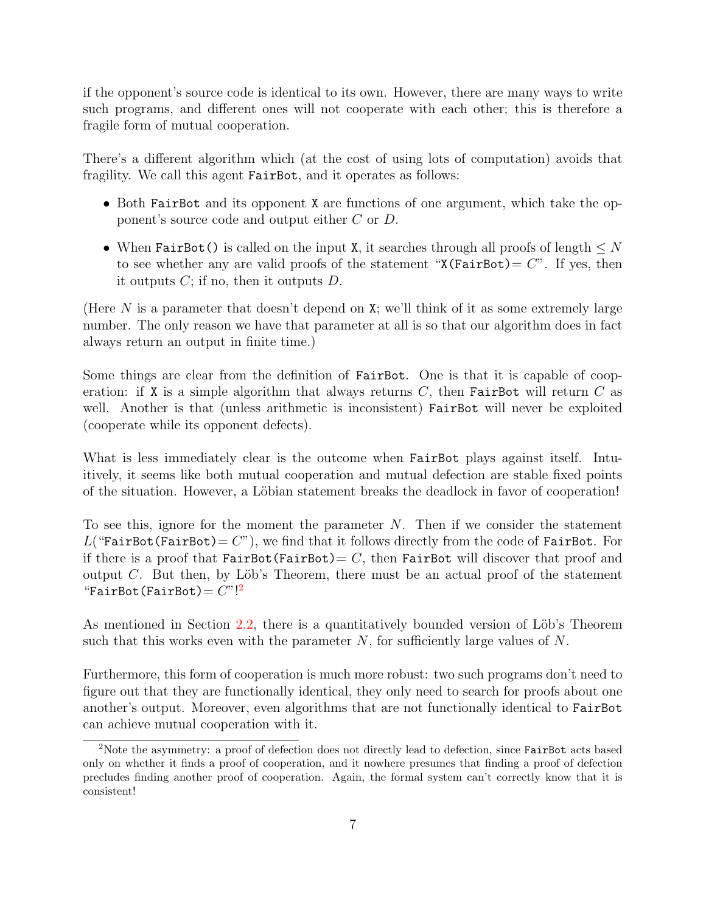if the opponent's source code is identical to its own. However, there are many ways to write such programs, and different ones will not cooperate with each other; this is therefore a fragile form of mutual cooperation.

There's a different algorithm which (at the cost of using lots of computation) avoids that fragility. We call this agent FairBot, and it operates as follows:

- Both FairBot and its opponent X are functions of one argument, which take the opponent's source code and output either C or D.
- When FairBot() is called on the input X, it searches through all proofs of length  $\leq N$ to see whether any are valid proofs of the statement " $X(FairBot) = C$ ". If yes, then it outputs  $C$ ; if no, then it outputs  $D$ .

(Here N is a parameter that doesn't depend on X; we'll think of it as some extremely large number. The only reason we have that parameter at all is so that our algorithm does in fact always return an output in finite time.)

Some things are clear from the definition of FairBot. One is that it is capable of cooperation: if X is a simple algorithm that always returns  $C$ , then FairBot will return  $C$  as well. Another is that (unless arithmetic is inconsistent) FairBot will never be exploited (cooperate while its opponent defects).

What is less immediately clear is the outcome when FairBot plays against itself. Intuitively, it seems like both mutual cooperation and mutual defection are stable fixed points of the situation. However, a Löbian statement breaks the deadlock in favor of cooperation!

To see this, ignore for the moment the parameter N. Then if we consider the statement  $L$ ("FairBot(FairBot) =  $C$ "), we find that it follows directly from the code of FairBot. For if there is a proof that FairBot(FairBot) =  $C$ , then FairBot will discover that proof and output  $C$ . But then, by Löb's Theorem, there must be an actual proof of the statement "FairBot(FairBot)=  $C$ "!<sup>[2](#page-6-0)</sup>

As mentioned in Section [2.2,](#page-3-0) there is a quantitatively bounded version of Löb's Theorem such that this works even with the parameter  $N$ , for sufficiently large values of  $N$ .

Furthermore, this form of cooperation is much more robust: two such programs don't need to figure out that they are functionally identical, they only need to search for proofs about one another's output. Moreover, even algorithms that are not functionally identical to FairBot can achieve mutual cooperation with it.

<span id="page-6-0"></span><sup>&</sup>lt;sup>2</sup>Note the asymmetry: a proof of defection does not directly lead to defection, since FairBot acts based only on whether it finds a proof of cooperation, and it nowhere presumes that finding a proof of defection precludes finding another proof of cooperation. Again, the formal system can't correctly know that it is consistent!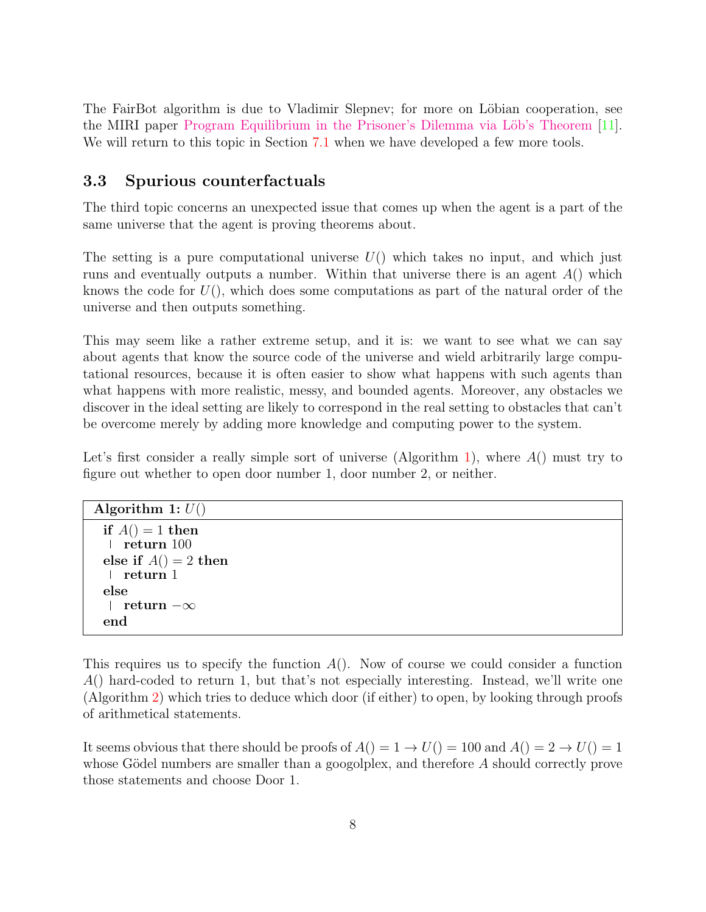The FairBot algorithm is due to Vladimir Slepnev; for more on Löbian cooperation, see the MIRI paper Program Equilibrium in the Prisoner's Dilemma via Löb's Theorem [\[11\]](#page-25-5). We will return to this topic in Section [7.1](#page-19-1) when we have developed a few more tools.

#### <span id="page-7-0"></span>3.3 Spurious counterfactuals

The third topic concerns an unexpected issue that comes up when the agent is a part of the same universe that the agent is proving theorems about.

The setting is a pure computational universe  $U()$  which takes no input, and which just runs and eventually outputs a number. Within that universe there is an agent  $A()$  which knows the code for  $U($ ), which does some computations as part of the natural order of the universe and then outputs something.

This may seem like a rather extreme setup, and it is: we want to see what we can say about agents that know the source code of the universe and wield arbitrarily large computational resources, because it is often easier to show what happens with such agents than what happens with more realistic, messy, and bounded agents. Moreover, any obstacles we discover in the ideal setting are likely to correspond in the real setting to obstacles that can't be overcome merely by adding more knowledge and computing power to the system.

Let's first consider a really simple sort of universe (Algorithm [1\)](#page-7-1), where  $A()$  must try to figure out whether to open door number 1, door number 2, or neither.

<span id="page-7-1"></span>

| Algorithm 1: $U()$     |  |
|------------------------|--|
| if $A() = 1$ then      |  |
| $\vert$ return 100     |  |
| else if $A() = 2$ then |  |
| $\vert$ return 1       |  |
| else                   |  |
| return $-\infty$       |  |
| end                    |  |

This requires us to specify the function  $A()$ . Now of course we could consider a function A() hard-coded to return 1, but that's not especially interesting. Instead, we'll write one (Algorithm [2\)](#page-7-2) which tries to deduce which door (if either) to open, by looking through proofs of arithmetical statements.

<span id="page-7-2"></span>It seems obvious that there should be proofs of  $A() = 1 \rightarrow U() = 100$  and  $A() = 2 \rightarrow U() = 1$ whose Gödel numbers are smaller than a googolplex, and therefore  $A$  should correctly prove those statements and choose Door 1.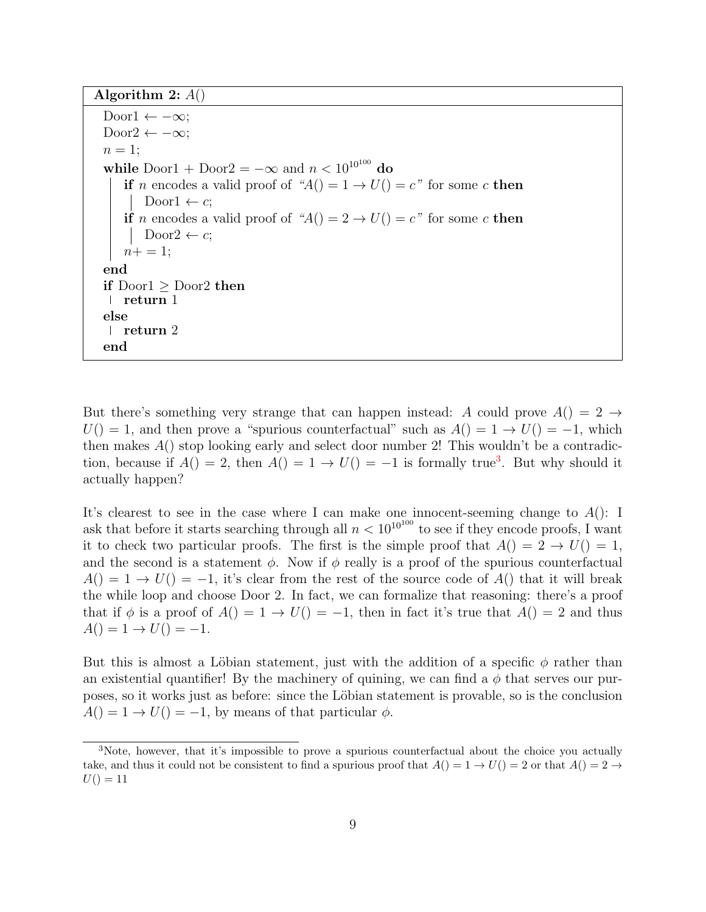Algorithm 2:  $A()$ Door1  $\leftarrow -\infty$ ; Door2  $\leftarrow -\infty$ ;  $n=1$ ; while Door1 + Door2 =  $-\infty$  and  $n < 10^{10^{100}}$  do if n encodes a valid proof of " $A() = 1 \rightarrow U() = c$ " for some c then Door $1 \leftarrow c$ ; if n encodes a valid proof of " $A() = 2 \rightarrow U() = c$ " for some c then  $Door2 \leftarrow c$ ;  $n+=1;$ end if  $\text{Door1} \geq \text{Door2}$  then return 1 else return 2 end

But there's something very strange that can happen instead: A could prove  $A() = 2 \rightarrow$  $U($ ) = 1, and then prove a "spurious counterfactual" such as  $A($ ) = 1  $\rightarrow U($ ) = -1, which then makes  $A()$  stop looking early and select door number 2! This wouldn't be a contradiction, because if  $A() = 2$ , then  $A() = 1 \rightarrow U() = -1$  is formally true<sup>[3](#page-8-0)</sup>. But why should it actually happen?

It's clearest to see in the case where I can make one innocent-seeming change to  $A()$ : I ask that before it starts searching through all  $n < 10^{10^{100}}$  to see if they encode proofs, I want it to check two particular proofs. The first is the simple proof that  $A() = 2 \rightarrow U() = 1$ , and the second is a statement  $\phi$ . Now if  $\phi$  really is a proof of the spurious counterfactual  $A() = 1 \rightarrow U() = -1$ , it's clear from the rest of the source code of  $A()$  that it will break the while loop and choose Door 2. In fact, we can formalize that reasoning: there's a proof that if  $\phi$  is a proof of  $A() = 1 \rightarrow U() = -1$ , then in fact it's true that  $A() = 2$  and thus  $A() = 1 \rightarrow U() = -1.$ 

But this is almost a Löbian statement, just with the addition of a specific  $\phi$  rather than an existential quantifier! By the machinery of quining, we can find a  $\phi$  that serves our purposes, so it works just as before: since the Löbian statement is provable, so is the conclusion  $A() = 1 \rightarrow U() = -1$ , by means of that particular  $\phi$ .

<span id="page-8-0"></span><sup>&</sup>lt;sup>3</sup>Note, however, that it's impossible to prove a spurious counterfactual about the choice you actually take, and thus it could not be consistent to find a spurious proof that  $A() = 1 \rightarrow U() = 2$  or that  $A() = 2 \rightarrow$  $U() = 11$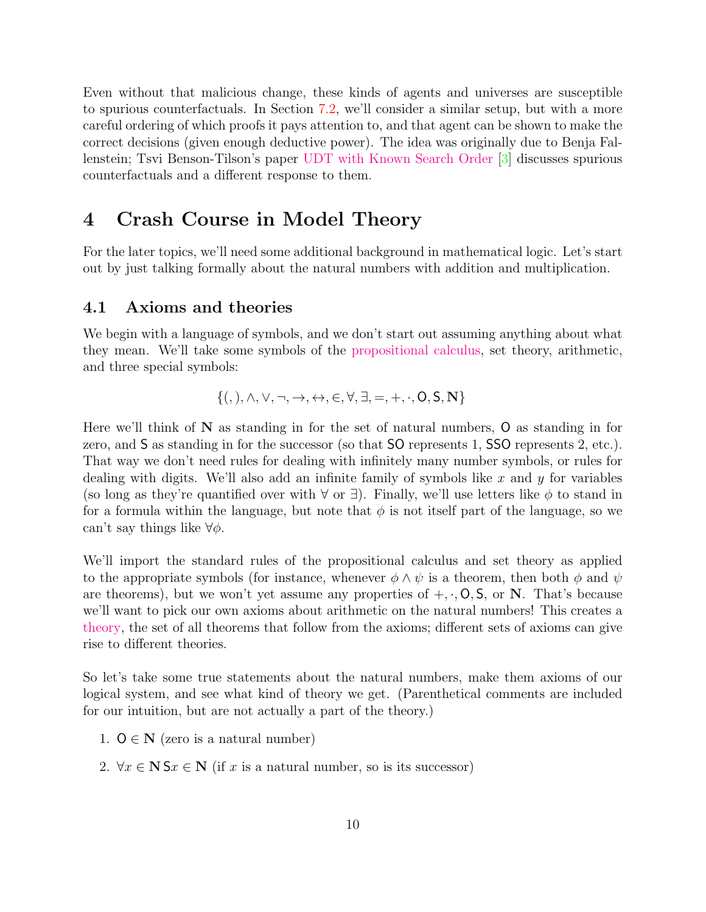Even without that malicious change, these kinds of agents and universes are susceptible to spurious counterfactuals. In Section [7.2,](#page-22-0) we'll consider a similar setup, but with a more careful ordering of which proofs it pays attention to, and that agent can be shown to make the correct decisions (given enough deductive power). The idea was originally due to Benja Fallenstein; Tsvi Benson-Tilson's paper [UDT with Known Search Order](http://intelligence.org/files/UDTSearchOrder.pdf) [\[3\]](#page-25-6) discusses spurious counterfactuals and a different response to them.

### <span id="page-9-0"></span>4 Crash Course in Model Theory

For the later topics, we'll need some additional background in mathematical logic. Let's start out by just talking formally about the natural numbers with addition and multiplication.

#### <span id="page-9-1"></span>4.1 Axioms and theories

We begin with a language of symbols, and we don't start out assuming anything about what they mean. We'll take some symbols of the [propositional calculus,](http://en.wikipedia.org/wiki/Propositional_calculus) set theory, arithmetic, and three special symbols:

$$
\{ (0,1), \wedge, \vee, \neg, \rightarrow, \leftrightarrow, \in, \forall, \exists, =, +, \cdot, O, S, \mathbf{N} \}
$$

Here we'll think of  $N$  as standing in for the set of natural numbers,  $O$  as standing in for zero, and S as standing in for the successor (so that SO represents 1, SSO represents 2, etc.). That way we don't need rules for dealing with infinitely many number symbols, or rules for dealing with digits. We'll also add an infinite family of symbols like x and y for variables (so long as they're quantified over with  $\forall$  or  $\exists$ ). Finally, we'll use letters like  $\phi$  to stand in for a formula within the language, but note that  $\phi$  is not itself part of the language, so we can't say things like  $\forall \phi$ .

We'll import the standard rules of the propositional calculus and set theory as applied to the appropriate symbols (for instance, whenever  $\phi \wedge \psi$  is a theorem, then both  $\phi$  and  $\psi$ are theorems), but we won't yet assume any properties of  $+,\cdot,0,5$ , or N. That's because we'll want to pick our own axioms about arithmetic on the natural numbers! This creates a [theory,](http://en.wikipedia.org/wiki/Theory_%28mathematical_logic%29) the set of all theorems that follow from the axioms; different sets of axioms can give rise to different theories.

So let's take some true statements about the natural numbers, make them axioms of our logical system, and see what kind of theory we get. (Parenthetical comments are included for our intuition, but are not actually a part of the theory.)

- 1.  $O \in N$  (zero is a natural number)
- 2.  $\forall x \in \mathbb{N}$  S $x \in \mathbb{N}$  (if x is a natural number, so is its successor)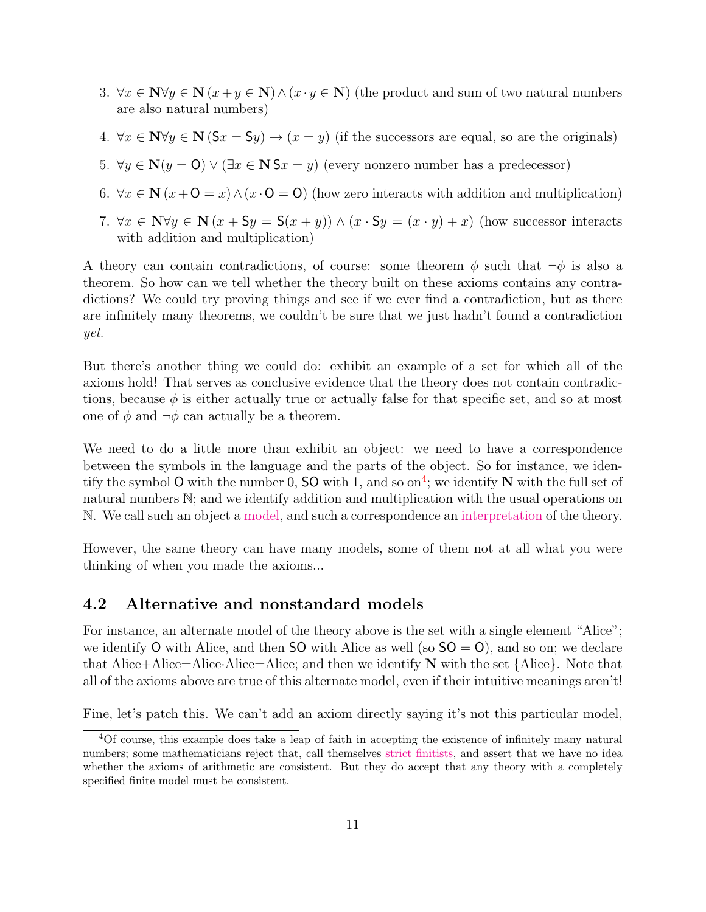- 3.  $\forall x \in \mathbb{N} \forall y \in \mathbb{N}$   $(x+y \in \mathbb{N}) \land (x \cdot y \in \mathbb{N})$  (the product and sum of two natural numbers are also natural numbers)
- 4.  $\forall x \in \mathbb{N} \forall y \in \mathbb{N}$  (S $x = \mathcal{S}y$ )  $\rightarrow (x = y)$  (if the successors are equal, so are the originals)
- 5.  $\forall y \in \mathbb{N}(y = 0) \lor (\exists x \in \mathbb{N} \mathsf{S} x = y)$  (every nonzero number has a predecessor)
- 6.  $\forall x \in \mathbb{N}$   $(x+0=x) \wedge (x \cdot 0=0)$  (how zero interacts with addition and multiplication)
- 7.  $\forall x \in \mathbb{N} \forall y \in \mathbb{N}$   $(x + \mathsf{S}y = \mathsf{S}(x + y)) \wedge (x \cdot \mathsf{S}y = (x \cdot y) + x)$  (how successor interacts with addition and multiplication)

A theory can contain contradictions, of course: some theorem  $\phi$  such that  $\neg \phi$  is also a theorem. So how can we tell whether the theory built on these axioms contains any contradictions? We could try proving things and see if we ever find a contradiction, but as there are infinitely many theorems, we couldn't be sure that we just hadn't found a contradiction yet.

But there's another thing we could do: exhibit an example of a set for which all of the axioms hold! That serves as conclusive evidence that the theory does not contain contradictions, because  $\phi$  is either actually true or actually false for that specific set, and so at most one of  $\phi$  and  $\neg \phi$  can actually be a theorem.

We need to do a little more than exhibit an object: we need to have a correspondence between the symbols in the language and the parts of the object. So for instance, we iden-tify the symbol O with the number 0, SO with 1, and so on<sup>[4](#page-10-1)</sup>; we identify N with the full set of natural numbers N; and we identify addition and multiplication with the usual operations on N. We call such an object a [model,](http://en.wikipedia.org/wiki/Structure_(mathematical_logic)) and such a correspondence an [interpretation](http://en.wikipedia.org/wiki/Interpretation_(logic)) of the theory.

However, the same theory can have many models, some of them not at all what you were thinking of when you made the axioms...

#### <span id="page-10-0"></span>4.2 Alternative and nonstandard models

For instance, an alternate model of the theory above is the set with a single element "Alice"; we identify O with Alice, and then SO with Alice as well (so  $SO = O$ ), and so on; we declare that Alice+Alice=Alice-Alice=Alice; and then we identify  $N$  with the set  ${Alice}$ . Note that all of the axioms above are true of this alternate model, even if their intuitive meanings aren't!

Fine, let's patch this. We can't add an axiom directly saying it's not this particular model,

<span id="page-10-1"></span><sup>4</sup>Of course, this example does take a leap of faith in accepting the existence of infinitely many natural numbers; some mathematicians reject that, call themselves [strict finitists,](http://en.wikipedia.org/wiki/Finitism) and assert that we have no idea whether the axioms of arithmetic are consistent. But they do accept that any theory with a completely specified finite model must be consistent.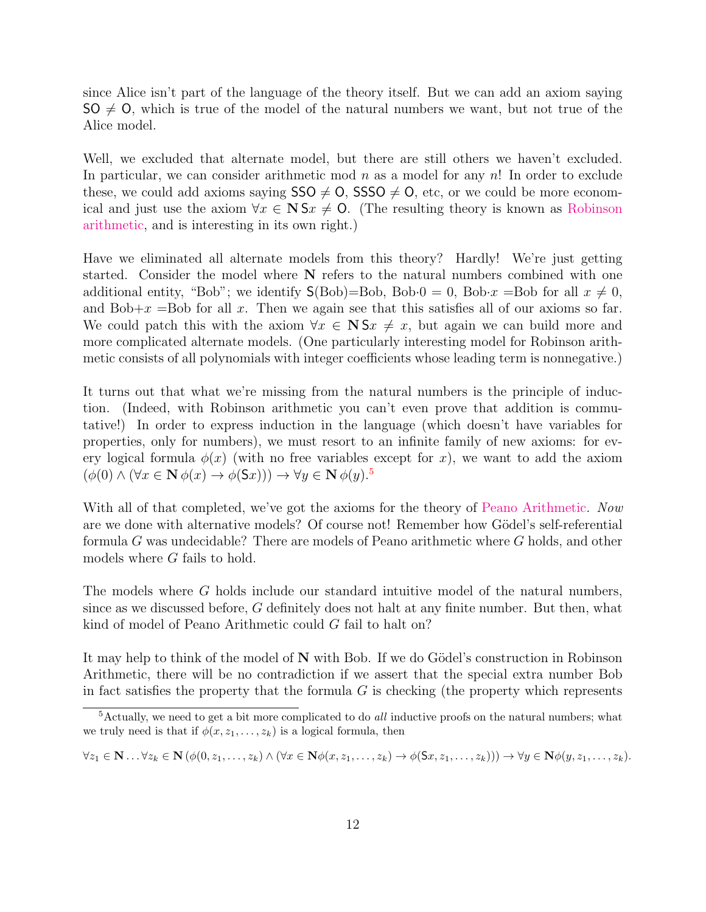since Alice isn't part of the language of the theory itself. But we can add an axiom saying  $SO \neq O$ , which is true of the model of the natural numbers we want, but not true of the Alice model.

Well, we excluded that alternate model, but there are still others we haven't excluded. In particular, we can consider arithmetic mod  $n$  as a model for any  $n!$ . In order to exclude these, we could add axioms saying  $SSO \neq O$ , SSSO  $\neq O$ , etc, or we could be more economical and just use the axiom  $\forall x \in \mathbb{N}$  S $x \neq 0$ . (The resulting theory is known as [Robinson](http://en.wikipedia.org/wiki/Robinson_arithmetic) [arithmetic,](http://en.wikipedia.org/wiki/Robinson_arithmetic) and is interesting in its own right.)

Have we eliminated all alternate models from this theory? Hardly! We're just getting started. Consider the model where N refers to the natural numbers combined with one additional entity, "Bob"; we identify  $S(Bob)=Bob$ , Bob·0 = 0, Bob·x = Bob for all  $x \neq 0$ , and Bob+ $x$  =Bob for all  $x$ . Then we again see that this satisfies all of our axioms so far. We could patch this with the axiom  $\forall x \in \mathbb{N}$  S $x \neq x$ , but again we can build more and more complicated alternate models. (One particularly interesting model for Robinson arithmetic consists of all polynomials with integer coefficients whose leading term is nonnegative.)

It turns out that what we're missing from the natural numbers is the principle of induction. (Indeed, with Robinson arithmetic you can't even prove that addition is commutative!) In order to express induction in the language (which doesn't have variables for properties, only for numbers), we must resort to an infinite family of new axioms: for every logical formula  $\phi(x)$  (with no free variables except for x), we want to add the axiom  $(\phi(0) \wedge (\forall x \in \mathbf{N} \phi(x) \rightarrow \phi(\mathsf{S}x))) \rightarrow \forall y \in \mathbf{N} \phi(y).$ <sup>[5](#page-11-0)</sup>

With all of that completed, we've got the axioms for the theory of [Peano Arithmetic.](http://en.wikipedia.org/wiki/Peano_axioms) Now are we done with alternative models? Of course not! Remember how Gödel's self-referential formula G was undecidable? There are models of Peano arithmetic where G holds, and other models where G fails to hold.

The models where G holds include our standard intuitive model of the natural numbers, since as we discussed before, G definitely does not halt at any finite number. But then, what kind of model of Peano Arithmetic could G fail to halt on?

It may help to think of the model of  $N$  with Bob. If we do Gödel's construction in Robinson Arithmetic, there will be no contradiction if we assert that the special extra number Bob in fact satisfies the property that the formula  $G$  is checking (the property which represents

$$
\forall z_1 \in \mathbf{N} \dots \forall z_k \in \mathbf{N} \left( \phi(0, z_1, \dots, z_k) \land (\forall x \in \mathbf{N} \phi(x, z_1, \dots, z_k) \to \phi(\mathsf{S}x, z_1, \dots, z_k))) \to \forall y \in \mathbf{N} \phi(y, z_1, \dots, z_k).
$$

<span id="page-11-0"></span> ${}^{5}$ Actually, we need to get a bit more complicated to do *all* inductive proofs on the natural numbers; what we truly need is that if  $\phi(x, z_1, \ldots, z_k)$  is a logical formula, then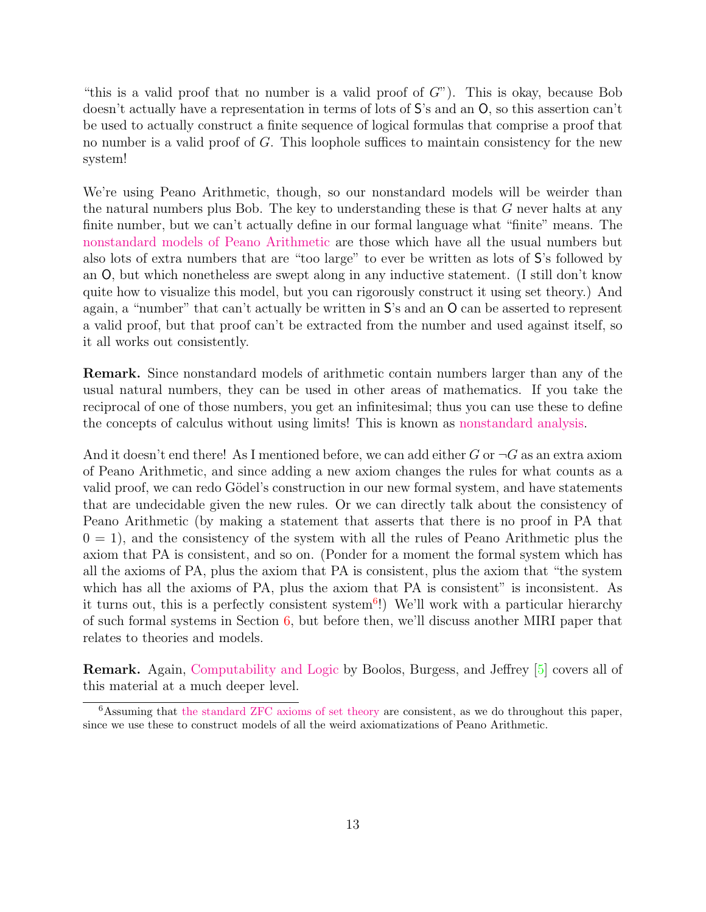"this is a valid proof that no number is a valid proof of  $G$ "). This is okay, because Bob doesn't actually have a representation in terms of lots of S's and an O, so this assertion can't be used to actually construct a finite sequence of logical formulas that comprise a proof that no number is a valid proof of G. This loophole suffices to maintain consistency for the new system!

We're using Peano Arithmetic, though, so our nonstandard models will be weirder than the natural numbers plus Bob. The key to understanding these is that G never halts at any finite number, but we can't actually define in our formal language what "finite" means. The [nonstandard models of Peano Arithmetic](http://en.wikipedia.org/wiki/Non-standard_model_of_arithmetic) are those which have all the usual numbers but also lots of extra numbers that are "too large" to ever be written as lots of S's followed by an O, but which nonetheless are swept along in any inductive statement. (I still don't know quite how to visualize this model, but you can rigorously construct it using set theory.) And again, a "number" that can't actually be written in S's and an O can be asserted to represent a valid proof, but that proof can't be extracted from the number and used against itself, so it all works out consistently.

Remark. Since nonstandard models of arithmetic contain numbers larger than any of the usual natural numbers, they can be used in other areas of mathematics. If you take the reciprocal of one of those numbers, you get an infinitesimal; thus you can use these to define the concepts of calculus without using limits! This is known as [nonstandard analysis.](http://en.wikipedia.org/wiki/Non-standard_analysis)

And it doesn't end there! As I mentioned before, we can add either G or  $\neg G$  as an extra axiom of Peano Arithmetic, and since adding a new axiom changes the rules for what counts as a valid proof, we can redo Gödel's construction in our new formal system, and have statements that are undecidable given the new rules. Or we can directly talk about the consistency of Peano Arithmetic (by making a statement that asserts that there is no proof in PA that  $0 = 1$ , and the consistency of the system with all the rules of Peano Arithmetic plus the axiom that PA is consistent, and so on. (Ponder for a moment the formal system which has all the axioms of PA, plus the axiom that PA is consistent, plus the axiom that "the system which has all the axioms of PA, plus the axiom that PA is consistent" is inconsistent. As it turns out, this is a perfectly consistent system<sup>[6](#page-12-0)</sup>!) We'll work with a particular hierarchy of such formal systems in Section [6,](#page-14-0) but before then, we'll discuss another MIRI paper that relates to theories and models.

Remark. Again, [Computability and Logic](http://www.cambridge.org/us/academic/subjects/philosophy/logic/computability-and-logic-5th-edition) by Boolos, Burgess, and Jeffrey [\[5\]](#page-25-2) covers all of this material at a much deeper level.

<span id="page-12-0"></span> $6$ Assuming that [the standard ZFC axioms of set theory](http://en.wikipedia.org/wiki/Zermelo%E2%80%93Fraenkel_set_theory) are consistent, as we do throughout this paper, since we use these to construct models of all the weird axiomatizations of Peano Arithmetic.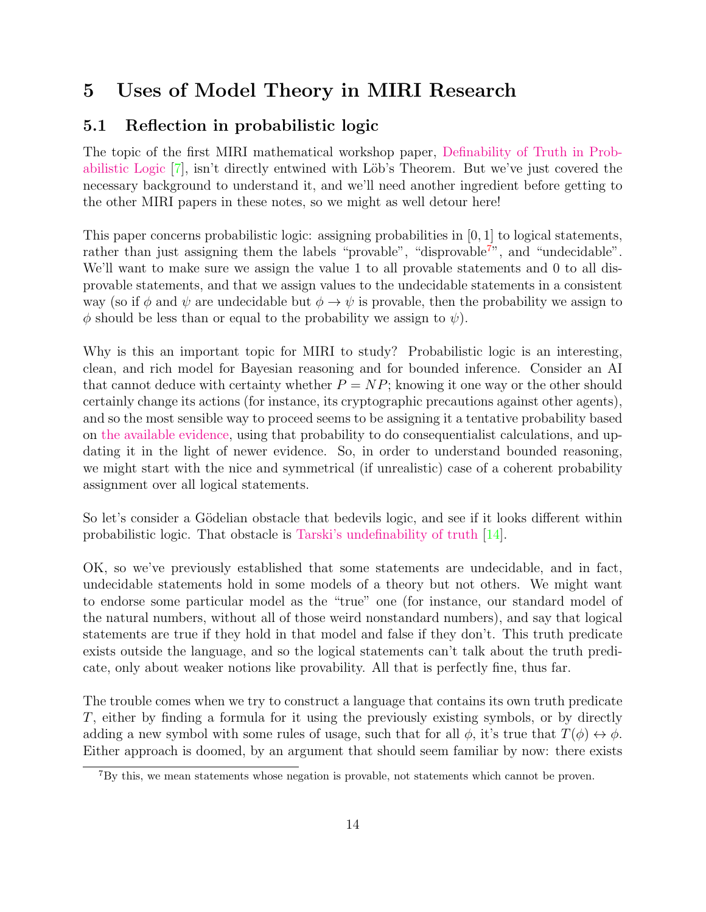## <span id="page-13-0"></span>5 Uses of Model Theory in MIRI Research

### <span id="page-13-1"></span>5.1 Reflection in probabilistic logic

The topic of the first MIRI mathematical workshop paper, [Definability of Truth in Prob](http://intelligence.org/files/DefinabilityTruthDraft.pdf)[abilistic Logic](http://intelligence.org/files/DefinabilityTruthDraft.pdf) [\[7\]](#page-25-7), isn't directly entwined with Löb's Theorem. But we've just covered the necessary background to understand it, and we'll need another ingredient before getting to the other MIRI papers in these notes, so we might as well detour here!

This paper concerns probabilistic logic: assigning probabilities in  $[0, 1]$  to logical statements, rather than just assigning them the labels "provable", "disprovable<sup>[7](#page-13-2)</sup>", and "undecidable". We'll want to make sure we assign the value 1 to all provable statements and 0 to all disprovable statements, and that we assign values to the undecidable statements in a consistent way (so if  $\phi$  and  $\psi$  are undecidable but  $\phi \to \psi$  is provable, then the probability we assign to  $\phi$  should be less than or equal to the probability we assign to  $\psi$ ).

Why is this an important topic for MIRI to study? Probabilistic logic is an interesting, clean, and rich model for Bayesian reasoning and for bounded inference. Consider an AI that cannot deduce with certainty whether  $P = NP$ ; knowing it one way or the other should certainly change its actions (for instance, its cryptographic precautions against other agents), and so the most sensible way to proceed seems to be assigning it a tentative probability based on [the available evidence,](http://www.scottaaronson.com/blog/?p=1720) using that probability to do consequentialist calculations, and updating it in the light of newer evidence. So, in order to understand bounded reasoning, we might start with the nice and symmetrical (if unrealistic) case of a coherent probability assignment over all logical statements.

So let's consider a Gödelian obstacle that bedevils logic, and see if it looks different within probabilistic logic. That obstacle is [Tarski's undefinability of truth](http://en.wikipedia.org/wiki/Tarski%27s_undefinability_theorem) [\[14\]](#page-25-8).

OK, so we've previously established that some statements are undecidable, and in fact, undecidable statements hold in some models of a theory but not others. We might want to endorse some particular model as the "true" one (for instance, our standard model of the natural numbers, without all of those weird nonstandard numbers), and say that logical statements are true if they hold in that model and false if they don't. This truth predicate exists outside the language, and so the logical statements can't talk about the truth predicate, only about weaker notions like provability. All that is perfectly fine, thus far.

The trouble comes when we try to construct a language that contains its own truth predicate T, either by finding a formula for it using the previously existing symbols, or by directly adding a new symbol with some rules of usage, such that for all  $\phi$ , it's true that  $T(\phi) \leftrightarrow \phi$ . Either approach is doomed, by an argument that should seem familiar by now: there exists

<span id="page-13-2"></span><sup>7</sup>By this, we mean statements whose negation is provable, not statements which cannot be proven.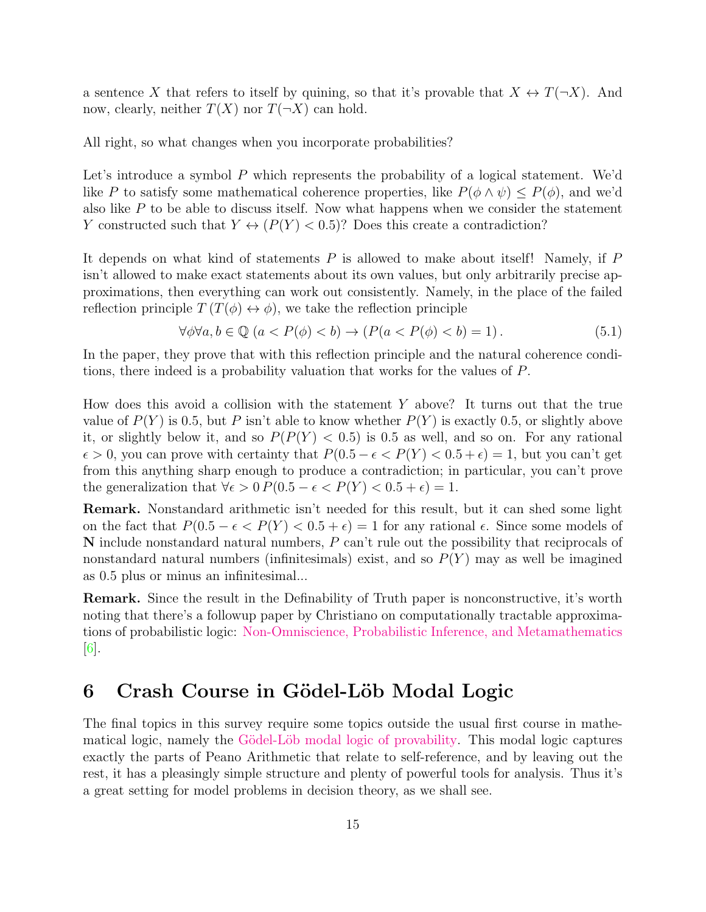a sentence X that refers to itself by quining, so that it's provable that  $X \leftrightarrow T(\neg X)$ . And now, clearly, neither  $T(X)$  nor  $T(\neg X)$  can hold.

All right, so what changes when you incorporate probabilities?

Let's introduce a symbol P which represents the probability of a logical statement. We'd like P to satisfy some mathematical coherence properties, like  $P(\phi \wedge \psi) \leq P(\phi)$ , and we'd also like P to be able to discuss itself. Now what happens when we consider the statement Y constructed such that  $Y \leftrightarrow (P(Y) < 0.5)$ ? Does this create a contradiction?

It depends on what kind of statements P is allowed to make about itself! Namely, if P isn't allowed to make exact statements about its own values, but only arbitrarily precise approximations, then everything can work out consistently. Namely, in the place of the failed reflection principle  $T(T(\phi) \leftrightarrow \phi)$ , we take the reflection principle

$$
\forall \phi \forall a, b \in \mathbb{Q} \ (a < P(\phi) < b) \rightarrow (P(a < P(\phi) < b) = 1). \tag{5.1}
$$

In the paper, they prove that with this reflection principle and the natural coherence conditions, there indeed is a probability valuation that works for the values of P.

How does this avoid a collision with the statement  $Y$  above? It turns out that the true value of  $P(Y)$  is 0.5, but P isn't able to know whether  $P(Y)$  is exactly 0.5, or slightly above it, or slightly below it, and so  $P(P(Y) < 0.5)$  is 0.5 as well, and so on. For any rational  $\epsilon > 0$ , you can prove with certainty that  $P(0.5 - \epsilon < P(Y) < 0.5 + \epsilon) = 1$ , but you can't get from this anything sharp enough to produce a contradiction; in particular, you can't prove the generalization that  $\forall \epsilon > 0$   $P(0.5 - \epsilon < P(Y) < 0.5 + \epsilon) = 1$ .

Remark. Nonstandard arithmetic isn't needed for this result, but it can shed some light on the fact that  $P(0.5 - \epsilon \langle P(Y) \rangle \langle 0.5 + \epsilon) = 1$  for any rational  $\epsilon$ . Since some models of N include nonstandard natural numbers, P can't rule out the possibility that reciprocals of nonstandard natural numbers (infinitesimals) exist, and so  $P(Y)$  may as well be imagined as 0.5 plus or minus an infinitesimal...

Remark. Since the result in the Definability of Truth paper is nonconstructive, it's worth noting that there's a followup paper by Christiano on computationally tractable approximations of probabilistic logic: [Non-Omniscience, Probabilistic Inference, and Metamathematics](https://intelligence.org/files/Non-Omniscience.pdf)  $|6|$ .

## <span id="page-14-0"></span>6 Crash Course in Gödel-Löb Modal Logic

The final topics in this survey require some topics outside the usual first course in mathematical logic, namely the Gödel-Löb modal logic of provability. This modal logic captures exactly the parts of Peano Arithmetic that relate to self-reference, and by leaving out the rest, it has a pleasingly simple structure and plenty of powerful tools for analysis. Thus it's a great setting for model problems in decision theory, as we shall see.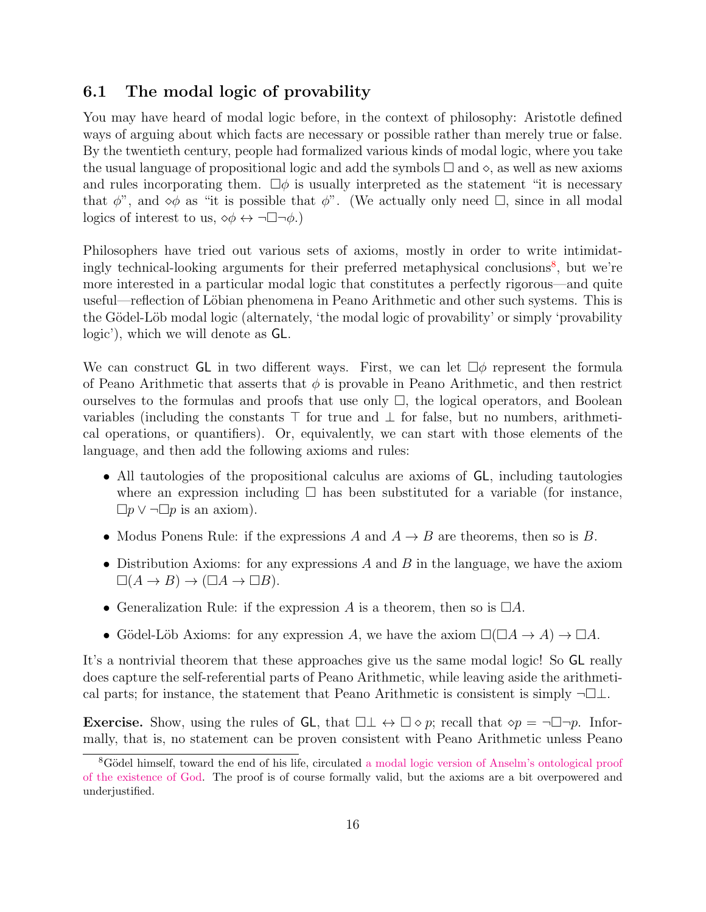#### <span id="page-15-0"></span>6.1 The modal logic of provability

You may have heard of modal logic before, in the context of philosophy: Aristotle defined ways of arguing about which facts are necessary or possible rather than merely true or false. By the twentieth century, people had formalized various kinds of modal logic, where you take the usual language of propositional logic and add the symbols  $\Box$  and  $\diamond$ , as well as new axioms and rules incorporating them.  $\Box \phi$  is usually interpreted as the statement "it is necessary that  $\phi$ ", and  $\phi \phi$  as "it is possible that  $\phi$ ". (We actually only need  $\Box$ , since in all modal logics of interest to us,  $\diamond \phi \leftrightarrow \neg \Box \neg \phi$ .)

Philosophers have tried out various sets of axioms, mostly in order to write intimidat-ingly technical-looking arguments for their preferred metaphysical conclusions<sup>[8](#page-15-1)</sup>, but we're more interested in a particular modal logic that constitutes a perfectly rigorous—and quite useful—reflection of Löbian phenomena in Peano Arithmetic and other such systems. This is the Gödel-Löb modal logic (alternately, 'the modal logic of provability' or simply 'provability' logic'), which we will denote as GL.

We can construct GL in two different ways. First, we can let  $\Box \phi$  represent the formula of Peano Arithmetic that asserts that  $\phi$  is provable in Peano Arithmetic, and then restrict ourselves to the formulas and proofs that use only  $\Box$ , the logical operators, and Boolean variables (including the constants  $\top$  for true and  $\bot$  for false, but no numbers, arithmetical operations, or quantifiers). Or, equivalently, we can start with those elements of the language, and then add the following axioms and rules:

- All tautologies of the propositional calculus are axioms of GL, including tautologies where an expression including  $\Box$  has been substituted for a variable (for instance,  $\Box p \vee \neg \Box p$  is an axiom).
- Modus Ponens Rule: if the expressions A and  $A \rightarrow B$  are theorems, then so is B.
- Distribution Axioms: for any expressions  $A$  and  $B$  in the language, we have the axiom  $\square(A \to B) \to (\square A \to \square B).$
- Generalization Rule: if the expression A is a theorem, then so is  $\Box A$ .
- Gödel-Löb Axioms: for any expression A, we have the axiom  $\square(\square A \to A) \to \square A$ .

It's a nontrivial theorem that these approaches give us the same modal logic! So GL really does capture the self-referential parts of Peano Arithmetic, while leaving aside the arithmetical parts; for instance, the statement that Peano Arithmetic is consistent is simply  $\neg\Box\bot$ .

**Exercise.** Show, using the rules of GL, that  $\Box \bot \leftrightarrow \Box \diamond p$ ; recall that  $\diamond p = \neg \Box \neg p$ . Informally, that is, no statement can be proven consistent with Peano Arithmetic unless Peano

<span id="page-15-1"></span><sup>&</sup>lt;sup>8</sup>Gödel himself, toward the end of his life, circulated [a modal logic version of Anselm's ontological proof](http://en.wikipedia.org/wiki/G%C3%B6del%27s_ontological_proof) [of the existence of God.](http://en.wikipedia.org/wiki/G%C3%B6del%27s_ontological_proof) The proof is of course formally valid, but the axioms are a bit overpowered and underjustified.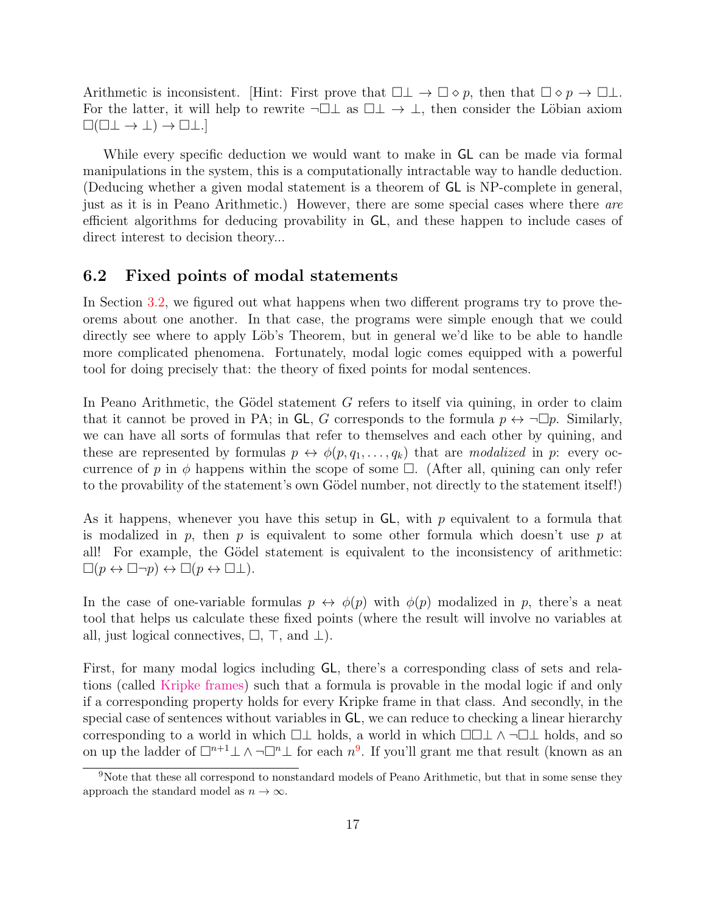Arithmetic is inconsistent. [Hint: First prove that  $\Box \bot \to \Box \diamond p$ , then that  $\Box \diamond p \to \Box \bot$ . For the latter, it will help to rewrite  $\neg \Box \bot$  as  $\Box \bot \rightarrow \bot$ , then consider the Löbian axiom  $\square(\square \bot \rightarrow \bot) \rightarrow \square \bot.$ 

While every specific deduction we would want to make in GL can be made via formal manipulations in the system, this is a computationally intractable way to handle deduction. (Deducing whether a given modal statement is a theorem of GL is NP-complete in general, just as it is in Peano Arithmetic.) However, there are some special cases where there are efficient algorithms for deducing provability in GL, and these happen to include cases of direct interest to decision theory...

#### <span id="page-16-0"></span>6.2 Fixed points of modal statements

In Section [3.2,](#page-5-2) we figured out what happens when two different programs try to prove theorems about one another. In that case, the programs were simple enough that we could directly see where to apply Löb's Theorem, but in general we'd like to be able to handle more complicated phenomena. Fortunately, modal logic comes equipped with a powerful tool for doing precisely that: the theory of fixed points for modal sentences.

In Peano Arithmetic, the Gödel statement  $G$  refers to itself via quining, in order to claim that it cannot be proved in PA; in GL, G corresponds to the formula  $p \leftrightarrow \neg \Box p$ . Similarly, we can have all sorts of formulas that refer to themselves and each other by quining, and these are represented by formulas  $p \leftrightarrow \phi(p, q_1, \ldots, q_k)$  that are modalized in p: every occurrence of p in  $\phi$  happens within the scope of some  $\Box$ . (After all, quining can only refer to the provability of the statement's own Gödel number, not directly to the statement itself!

As it happens, whenever you have this setup in  $GL$ , with p equivalent to a formula that is modalized in p, then p is equivalent to some other formula which doesn't use p at all! For example, the Gödel statement is equivalent to the inconsistency of arithmetic:  $\square(p \leftrightarrow \square \neg p) \leftrightarrow \square(p \leftrightarrow \square \bot).$ 

In the case of one-variable formulas  $p \leftrightarrow \phi(p)$  with  $\phi(p)$  modalized in p, there's a neat tool that helps us calculate these fixed points (where the result will involve no variables at all, just logical connectives,  $\Box$ ,  $\top$ , and  $\bot$ ).

First, for many modal logics including GL, there's a corresponding class of sets and relations (called [Kripke frames\)](http://en.wikipedia.org/wiki/Kripke_semantics) such that a formula is provable in the modal logic if and only if a corresponding property holds for every Kripke frame in that class. And secondly, in the special case of sentences without variables in GL, we can reduce to checking a linear hierarchy corresponding to a world in which  $\Box \bot$  holds, a world in which  $\Box \Box \bot \wedge \neg \Box \bot$  holds, and so on up the ladder of  $\Box^{n+1} \bot \land \neg \Box^{n} \bot$  for each  $n^9$  $n^9$ . If you'll grant me that result (known as an

<span id="page-16-1"></span><sup>9</sup>Note that these all correspond to nonstandard models of Peano Arithmetic, but that in some sense they approach the standard model as  $n \to \infty$ .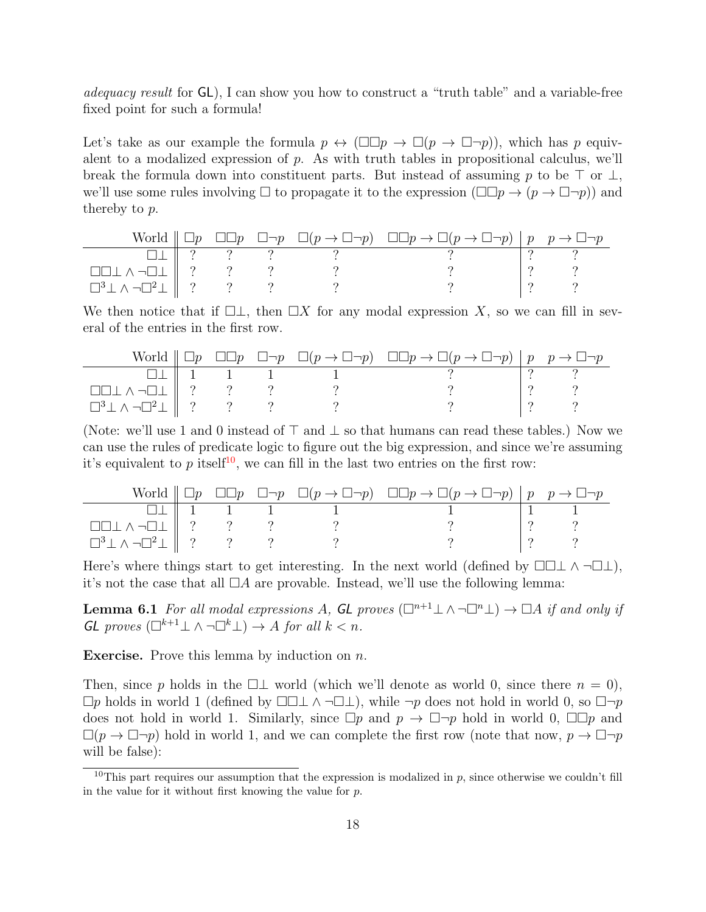adequacy result for  $GL$ ), I can show you how to construct a "truth table" and a variable-free fixed point for such a formula!

Let's take as our example the formula  $p \leftrightarrow (\Box \Box p \rightarrow \Box (p \rightarrow \Box \neg p))$ , which has p equivalent to a modalized expression of p. As with truth tables in propositional calculus, we'll break the formula down into constituent parts. But instead of assuming p to be  $\top$  or  $\bot$ , we'll use some rules involving  $\Box$  to propagate it to the expression  $(\Box \Box p \rightarrow (p \rightarrow \Box \neg p))$  and thereby to p.

|                                                                                     |  |  | World $\Box p$ $\Box \Box p$ $\Box \neg p$ $\Box (p \rightarrow \Box \neg p)$ $\Box \Box p \rightarrow \Box (p \rightarrow \Box \neg p)$ $\Box p$ $p \rightarrow \Box \neg p$ |  |
|-------------------------------------------------------------------------------------|--|--|-------------------------------------------------------------------------------------------------------------------------------------------------------------------------------|--|
|                                                                                     |  |  |                                                                                                                                                                               |  |
| $\Box\Box\bot\wedge\neg\Box\bot\parallel\ ?\qquad ?\qquad ?$                        |  |  |                                                                                                                                                                               |  |
| $\Box^3 \bot \wedge \neg \Box^2 \bot \begin{array}{ccc}   & ? & & ? \\ \end{array}$ |  |  |                                                                                                                                                                               |  |

We then notice that if  $\Box \bot$ , then  $\Box X$  for any modal expression X, so we can fill in several of the entries in the first row.

|                                                      |  |  | World $\Box p$ $\Box \Box p$ $\Box \neg p$ $\Box (p \rightarrow \Box \neg p)$ $\Box \Box p \rightarrow \Box (p \rightarrow \Box \neg p)$ $\Box p$ $p \rightarrow \Box \neg p$ |  |
|------------------------------------------------------|--|--|-------------------------------------------------------------------------------------------------------------------------------------------------------------------------------|--|
|                                                      |  |  |                                                                                                                                                                               |  |
| $\Box\Box\bot\wedge\neg\Box\bot\parallel\ ?\qquad ?$ |  |  |                                                                                                                                                                               |  |
| $\Box^3 \bot \wedge \neg \Box^2 \bot \Box$ ? ? ?     |  |  |                                                                                                                                                                               |  |

(Note: we'll use 1 and 0 instead of  $\top$  and  $\bot$  so that humans can read these tables.) Now we can use the rules of predicate logic to figure out the big expression, and since we're assuming it's equivalent to p itself<sup>[10](#page-17-0)</sup>, we can fill in the last two entries on the first row:

|                                                      |  |  | World $\Box p \Box \Box p \Box \neg p \Box (p \rightarrow \Box \neg p) \Box \Box p \rightarrow \Box (p \rightarrow \Box \neg p)   p \rightarrow \Box \neg p$ |  |
|------------------------------------------------------|--|--|--------------------------------------------------------------------------------------------------------------------------------------------------------------|--|
|                                                      |  |  |                                                                                                                                                              |  |
| $\Box\Box\bot\wedge\neg\Box\bot\parallel\ ?\qquad ?$ |  |  |                                                                                                                                                              |  |
| $\Box^3 \bot \wedge \neg \Box^2 \bot \parallel ?$ ?  |  |  |                                                                                                                                                              |  |

Here's where things start to get interesting. In the next world (defined by  $\Box\Box\bot \wedge \neg \Box\bot$ ), it's not the case that all  $\Box A$  are provable. Instead, we'll use the following lemma:

**Lemma 6.1** For all modal expressions A, GL proves  $(\square^{n+1} \bot \wedge \neg \square^n \bot) \rightarrow \square A$  if and only if  $GL$  proves  $(\Box^{k+1} \bot \land \neg \Box^{k} \bot) \to A$  for all  $k < n$ .

**Exercise.** Prove this lemma by induction on  $n$ .

Then, since p holds in the  $\Box \bot$  world (which we'll denote as world 0, since there  $n = 0$ ),  $\Box p$  holds in world 1 (defined by  $\Box\Box\bot \wedge \neg \Box\bot$ ), while  $\neg p$  does not hold in world 0, so  $\Box\neg p$ does not hold in world 1. Similarly, since  $\Box p$  and  $p \to \Box \neg p$  hold in world 0,  $\Box \Box p$  and  $\Box(p \to \Box \neg p)$  hold in world 1, and we can complete the first row (note that now,  $p \to \Box \neg p$ will be false):

<span id="page-17-0"></span><sup>&</sup>lt;sup>10</sup>This part requires our assumption that the expression is modalized in  $p$ , since otherwise we couldn't fill in the value for it without first knowing the value for  $p$ .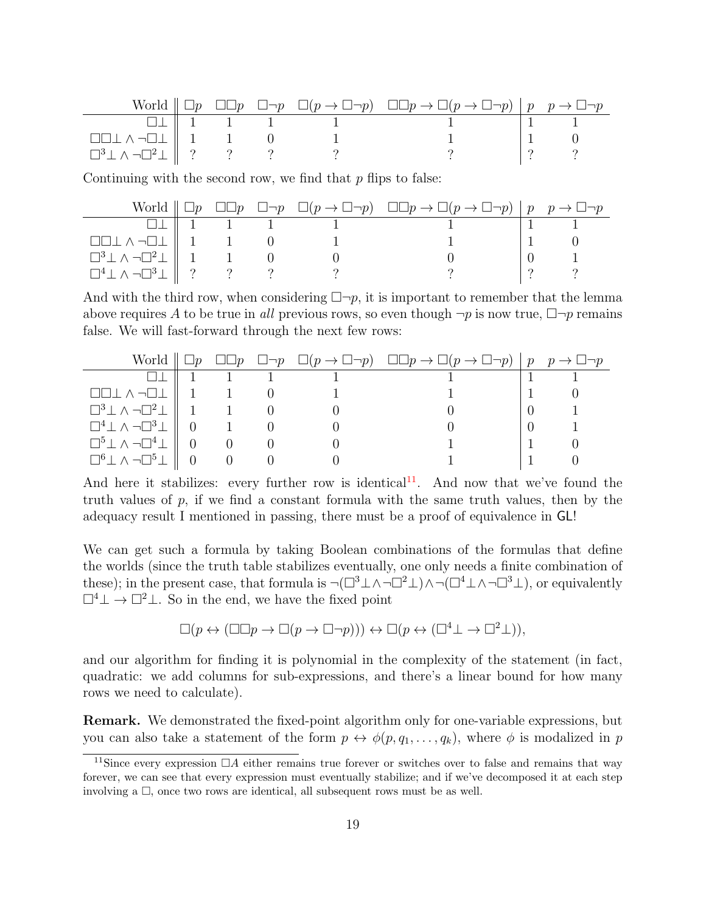|                                                                                                                                                   |                                            |  | World $\Box p$ $\Box \Box p$ $\Box \neg p$ $\Box (p \rightarrow \Box \neg p)$ $\Box \Box p \rightarrow \Box (p \rightarrow \Box \neg p)$ $\Box p$ $p \rightarrow \Box \neg p$ |  |
|---------------------------------------------------------------------------------------------------------------------------------------------------|--------------------------------------------|--|-------------------------------------------------------------------------------------------------------------------------------------------------------------------------------|--|
|                                                                                                                                                   | $\Box \perp \parallel 1 \qquad 1 \qquad 1$ |  |                                                                                                                                                                               |  |
| $\begin{array}{ccc}\n\square \square \bot \wedge \neg \square \bot & 1 & 1 & 0 \\ \square^3 \bot \wedge \neg \square^2 \bot & ? & ?\n\end{array}$ |                                            |  |                                                                                                                                                                               |  |
|                                                                                                                                                   |                                            |  |                                                                                                                                                                               |  |

Continuing with the second row, we find that  $p$  flips to false:

|                                                                                                                    |  |                                                    | World $\Box p \Box \Box p \Box \neg p \Box (p \rightarrow \Box \neg p) \Box \Box p \rightarrow \Box (p \rightarrow \Box \neg p)   p \rightarrow \Box \neg p$ |  |
|--------------------------------------------------------------------------------------------------------------------|--|----------------------------------------------------|--------------------------------------------------------------------------------------------------------------------------------------------------------------|--|
|                                                                                                                    |  | $\Box \bot \parallel 1 \qquad 1 \qquad 1 \qquad 1$ |                                                                                                                                                              |  |
| $\Box \Box \bot \wedge \neg \Box \bot \parallel 1 \qquad 1 \qquad 0$                                               |  |                                                    |                                                                                                                                                              |  |
| $\begin{array}{c  c} \Box^3 \bot \land \neg \Box^2 \bot & 1 \\ \Box^4 \bot \land \neg \Box^3 \bot & ? \end{array}$ |  |                                                    |                                                                                                                                                              |  |
|                                                                                                                    |  |                                                    |                                                                                                                                                              |  |

And with the third row, when considering  $\Box \neg p$ , it is important to remember that the lemma above requires A to be true in all previous rows, so even though  $\neg p$  is now true,  $\Box\neg p$  remains false. We will fast-forward through the next few rows:

|                                                                     |                                              |  | World $\Box p$ $\Box \Box p$ $\Box \neg p$ $\Box (p \rightarrow \Box \neg p)$ $\Box \Box p \rightarrow \Box (p \rightarrow \Box \neg p)$ $\vert p \vert p \rightarrow \Box \neg p$ |  |
|---------------------------------------------------------------------|----------------------------------------------|--|------------------------------------------------------------------------------------------------------------------------------------------------------------------------------------|--|
|                                                                     |                                              |  |                                                                                                                                                                                    |  |
| $\Box\Box\bot\wedge\neg\Box\bot\parallel 1 \qquad 1 \qquad 0$       |                                              |  |                                                                                                                                                                                    |  |
| $\Box^3 \bot \wedge \neg \Box^2 \bot \parallel 1 \qquad 1 \qquad 0$ |                                              |  |                                                                                                                                                                                    |  |
| $\Box^4 \bot \wedge \neg \Box^3 \bot \parallel 0 \qquad 1 \qquad 0$ |                                              |  |                                                                                                                                                                                    |  |
| $\Box^5 \bot \wedge \neg \Box^4 \bot \,\parallel\,\, 0$             | $\begin{matrix} 0 & 0 \\ 0 & 0 \end{matrix}$ |  |                                                                                                                                                                                    |  |
| $\Box^6 \bot \wedge \neg \Box^5 \bot \parallel 0 \qquad 0$          |                                              |  |                                                                                                                                                                                    |  |

And here it stabilizes: every further row is identical<sup>[11](#page-18-0)</sup>. And now that we've found the truth values of  $p$ , if we find a constant formula with the same truth values, then by the adequacy result I mentioned in passing, there must be a proof of equivalence in GL!

We can get such a formula by taking Boolean combinations of the formulas that define the worlds (since the truth table stabilizes eventually, one only needs a finite combination of these); in the present case, that formula is  $\neg(\Box^3 \bot \land \neg \Box^2 \bot) \land \neg(\Box^4 \bot \land \neg \Box^3 \bot)$ , or equivalently  $\Box^4 \bot \rightarrow \Box^2 \bot$ . So in the end, we have the fixed point

$$
\Box(p \leftrightarrow (\Box \Box p \rightarrow \Box (p \rightarrow \Box \neg p))) \leftrightarrow \Box(p \leftrightarrow (\Box^4 \bot \rightarrow \Box^2 \bot)),
$$

and our algorithm for finding it is polynomial in the complexity of the statement (in fact, quadratic: we add columns for sub-expressions, and there's a linear bound for how many rows we need to calculate).

Remark. We demonstrated the fixed-point algorithm only for one-variable expressions, but you can also take a statement of the form  $p \leftrightarrow \phi(p, q_1, \ldots, q_k)$ , where  $\phi$  is modalized in p

<span id="page-18-0"></span><sup>&</sup>lt;sup>11</sup>Since every expression  $\Box A$  either remains true forever or switches over to false and remains that way forever, we can see that every expression must eventually stabilize; and if we've decomposed it at each step involving a  $\square$ , once two rows are identical, all subsequent rows must be as well.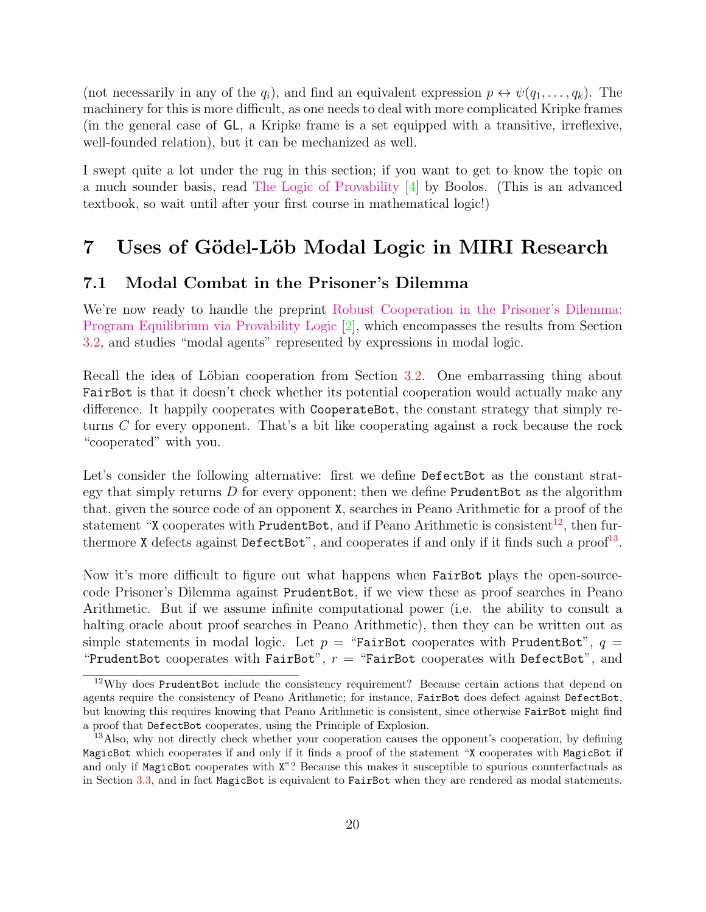(not necessarily in any of the  $q_i$ ), and find an equivalent expression  $p \leftrightarrow \psi(q_1, \ldots, q_k)$ . The machinery for this is more difficult, as one needs to deal with more complicated Kripke frames (in the general case of GL, a Kripke frame is a set equipped with a transitive, irreflexive, well-founded relation), but it can be mechanized as well.

I swept quite a lot under the rug in this section; if you want to get to know the topic on a much sounder basis, read [The Logic of Provability](http://www.cambridge.org/us/academic/subjects/philosophy/logic/logic-provability) [\[4\]](#page-25-10) by Boolos. (This is an advanced textbook, so wait until after your first course in mathematical logic!)

## <span id="page-19-0"></span>7 Uses of Gödel-Löb Modal Logic in MIRI Research

#### <span id="page-19-1"></span>7.1 Modal Combat in the Prisoner's Dilemma

We're now ready to handle the preprint [Robust Cooperation in the Prisoner's Dilemma:](http://arxiv.org/abs/1401.5577) [Program Equilibrium via Provability Logic](http://arxiv.org/abs/1401.5577) [\[2\]](#page-25-11), which encompasses the results from Section [3.2,](#page-5-2) and studies "modal agents" represented by expressions in modal logic.

Recall the idea of Löbian cooperation from Section [3.2.](#page-5-2) One embarrassing thing about FairBot is that it doesn't check whether its potential cooperation would actually make any difference. It happily cooperates with CooperateBot, the constant strategy that simply returns C for every opponent. That's a bit like cooperating against a rock because the rock "cooperated" with you.

Let's consider the following alternative: first we define DefectBot as the constant strategy that simply returns  $D$  for every opponent; then we define PrudentBot as the algorithm that, given the source code of an opponent X, searches in Peano Arithmetic for a proof of the statement "X cooperates with PrudentBot, and if Peano Arithmetic is consistent<sup>[12](#page-19-2)</sup>, then furthermore **X** defects against  $\text{DefectBot}^n$ , and cooperates if and only if it finds such a proof<sup>[13](#page-19-3)</sup>.

Now it's more difficult to figure out what happens when FairBot plays the open-sourcecode Prisoner's Dilemma against PrudentBot, if we view these as proof searches in Peano Arithmetic. But if we assume infinite computational power (i.e. the ability to consult a halting oracle about proof searches in Peano Arithmetic), then they can be written out as simple statements in modal logic. Let  $p =$  "FairBot cooperates with PrudentBot",  $q =$ "PrudentBot cooperates with FairBot",  $r =$  "FairBot cooperates with DefectBot", and

<span id="page-19-2"></span><sup>&</sup>lt;sup>12</sup>Why does PrudentBot include the consistency requirement? Because certain actions that depend on agents require the consistency of Peano Arithmetic; for instance, FairBot does defect against DefectBot, but knowing this requires knowing that Peano Arithmetic is consistent, since otherwise FairBot might find a proof that DefectBot cooperates, using the Principle of Explosion.

<span id="page-19-3"></span><sup>&</sup>lt;sup>13</sup>Also, why not directly check whether your cooperation causes the opponent's cooperation, by defining MagicBot which cooperates if and only if it finds a proof of the statement "X cooperates with MagicBot if and only if MagicBot cooperates with X"? Because this makes it susceptible to spurious counterfactuals as in Section [3.3,](#page-7-0) and in fact MagicBot is equivalent to FairBot when they are rendered as modal statements.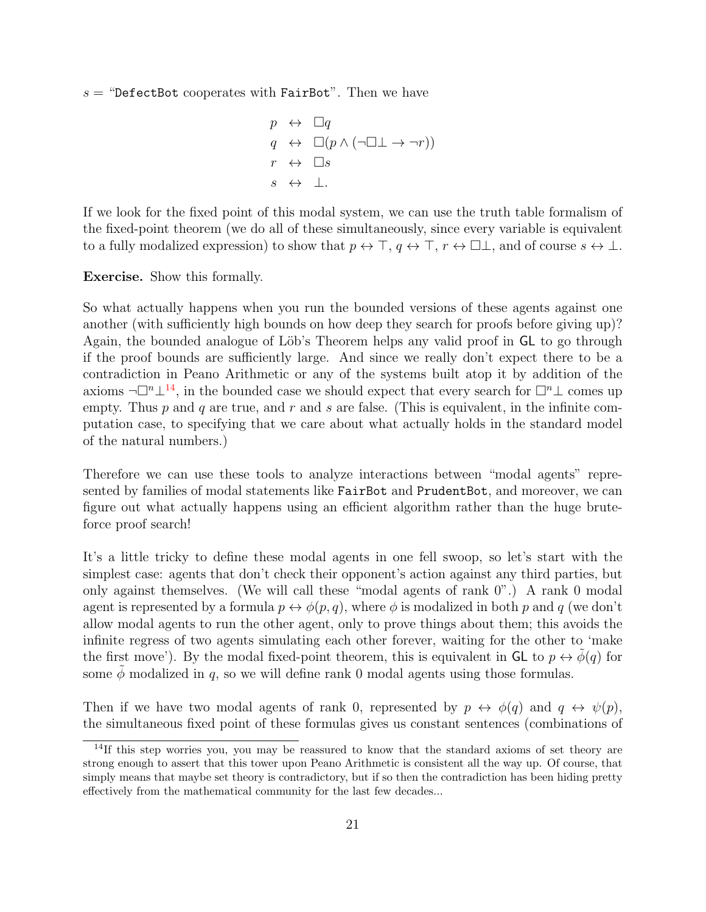$s =$  "DefectBot cooperates with FairBot". Then we have

$$
p \leftrightarrow \Box q
$$
  
\n
$$
q \leftrightarrow \Box (p \land (\neg \Box \bot \rightarrow \neg r))
$$
  
\n
$$
r \leftrightarrow \Box s
$$
  
\n
$$
s \leftrightarrow \bot.
$$

If we look for the fixed point of this modal system, we can use the truth table formalism of the fixed-point theorem (we do all of these simultaneously, since every variable is equivalent to a fully modalized expression) to show that  $p \leftrightarrow \top$ ,  $q \leftrightarrow \top$ ,  $r \leftrightarrow \square \bot$ , and of course  $s \leftrightarrow \bot$ .

Exercise. Show this formally.

So what actually happens when you run the bounded versions of these agents against one another (with sufficiently high bounds on how deep they search for proofs before giving up)? Again, the bounded analogue of Löb's Theorem helps any valid proof in **GL** to go through if the proof bounds are sufficiently large. And since we really don't expect there to be a contradiction in Peano Arithmetic or any of the systems built atop it by addition of the axioms  $\neg\Box^n\bot^{14}$  $\neg\Box^n\bot^{14}$  $\neg\Box^n\bot^{14}$ , in the bounded case we should expect that every search for  $\Box^n\bot$  comes up empty. Thus  $p$  and  $q$  are true, and  $r$  and  $s$  are false. (This is equivalent, in the infinite computation case, to specifying that we care about what actually holds in the standard model of the natural numbers.)

Therefore we can use these tools to analyze interactions between "modal agents" represented by families of modal statements like FairBot and PrudentBot, and moreover, we can figure out what actually happens using an efficient algorithm rather than the huge bruteforce proof search!

It's a little tricky to define these modal agents in one fell swoop, so let's start with the simplest case: agents that don't check their opponent's action against any third parties, but only against themselves. (We will call these "modal agents of rank 0".) A rank 0 modal agent is represented by a formula  $p \leftrightarrow \phi(p,q)$ , where  $\phi$  is modalized in both p and q (we don't allow modal agents to run the other agent, only to prove things about them; this avoids the infinite regress of two agents simulating each other forever, waiting for the other to 'make the first move'). By the modal fixed-point theorem, this is equivalent in  $GL$  to  $p \leftrightarrow \phi(q)$  for some  $\phi$  modalized in q, so we will define rank 0 modal agents using those formulas.

Then if we have two modal agents of rank 0, represented by  $p \leftrightarrow \phi(q)$  and  $q \leftrightarrow \psi(p)$ , the simultaneous fixed point of these formulas gives us constant sentences (combinations of

<span id="page-20-0"></span> $14$ If this step worries you, you may be reassured to know that the standard axioms of set theory are strong enough to assert that this tower upon Peano Arithmetic is consistent all the way up. Of course, that simply means that maybe set theory is contradictory, but if so then the contradiction has been hiding pretty effectively from the mathematical community for the last few decades...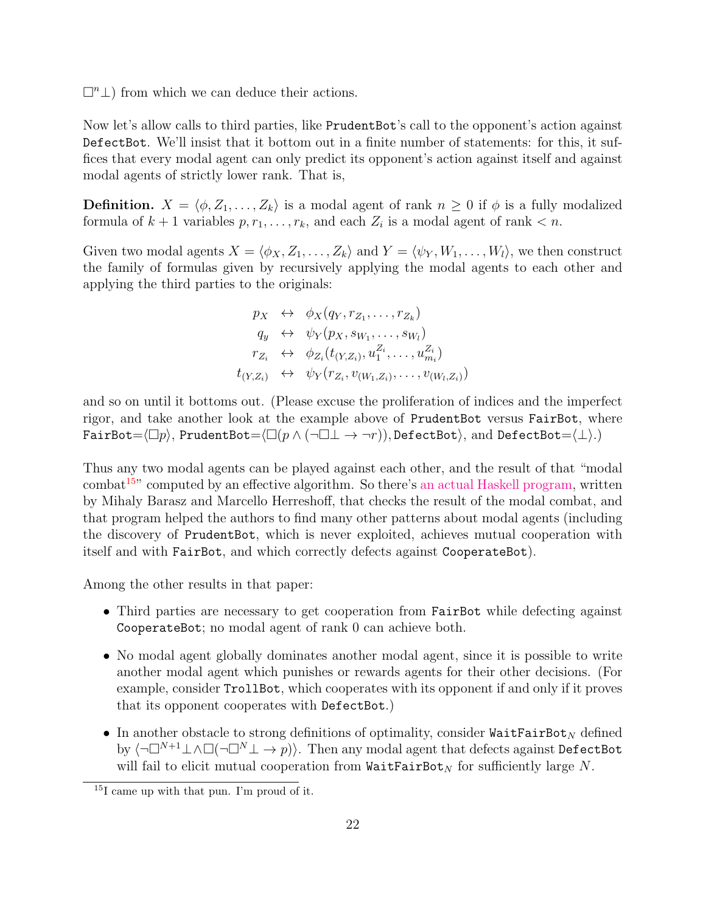$\Box<sup>n</sup>\bot$ ) from which we can deduce their actions.

Now let's allow calls to third parties, like PrudentBot's call to the opponent's action against DefectBot. We'll insist that it bottom out in a finite number of statements: for this, it suffices that every modal agent can only predict its opponent's action against itself and against modal agents of strictly lower rank. That is,

**Definition.**  $X = \langle \phi, Z_1, \ldots, Z_k \rangle$  is a modal agent of rank  $n \geq 0$  if  $\phi$  is a fully modalized formula of  $k+1$  variables  $p, r_1, \ldots, r_k$ , and each  $Z_i$  is a modal agent of rank  $\lt n$ .

Given two modal agents  $X = \langle \phi_X, Z_1, \ldots, Z_k \rangle$  and  $Y = \langle \psi_Y, W_1, \ldots, W_l \rangle$ , we then construct the family of formulas given by recursively applying the modal agents to each other and applying the third parties to the originals:

$$
p_X \leftrightarrow \phi_X(q_Y, r_{Z_1}, \dots, r_{Z_k})
$$
  
\n
$$
q_y \leftrightarrow \psi_Y(p_X, s_{W_1}, \dots, s_{W_l})
$$
  
\n
$$
r_{Z_i} \leftrightarrow \phi_{Z_i}(t_{(Y, Z_i)}, u_1^{Z_i}, \dots, u_{m_i}^{Z_i})
$$
  
\n
$$
t_{(Y, Z_i)} \leftrightarrow \psi_Y(r_{Z_i}, v_{(W_1, Z_i)}, \dots, v_{(W_l, Z_i)})
$$

and so on until it bottoms out. (Please excuse the proliferation of indices and the imperfect rigor, and take another look at the example above of PrudentBot versus FairBot, where FairBot= $\langle\Box p\rangle$ , PrudentBot= $\langle\Box(p \wedge (\neg\Box \bot \rightarrow \neg r)),$  DefectBot $\rangle$ , and DefectBot= $\langle\bot\rangle$ .)

Thus any two modal agents can be played against each other, and the result of that "modal  $combat<sup>15</sup>$  $combat<sup>15</sup>$  $combat<sup>15</sup>$  computed by an effective algorithm. So there's [an actual Haskell program,](https://github.com/machine-intelligence/provability) written by Mihaly Barasz and Marcello Herreshoff, that checks the result of the modal combat, and that program helped the authors to find many other patterns about modal agents (including the discovery of PrudentBot, which is never exploited, achieves mutual cooperation with itself and with FairBot, and which correctly defects against CooperateBot).

Among the other results in that paper:

- Third parties are necessary to get cooperation from FairBot while defecting against CooperateBot; no modal agent of rank 0 can achieve both.
- No modal agent globally dominates another modal agent, since it is possible to write another modal agent which punishes or rewards agents for their other decisions. (For example, consider TrollBot, which cooperates with its opponent if and only if it proves that its opponent cooperates with DefectBot.)
- In another obstacle to strong definitions of optimality, consider  $\texttt{WaitFairBot}_N$  defined by  $\langle \neg \Box^{N+1} \bot \land \Box (\neg \Box^{N} \bot \to p) \rangle$ . Then any modal agent that defects against DefectBot will fail to elicit mutual cooperation from  $\texttt{WaitFairBot}_N$  for sufficiently large N.

<span id="page-21-0"></span><sup>15</sup>I came up with that pun. I'm proud of it.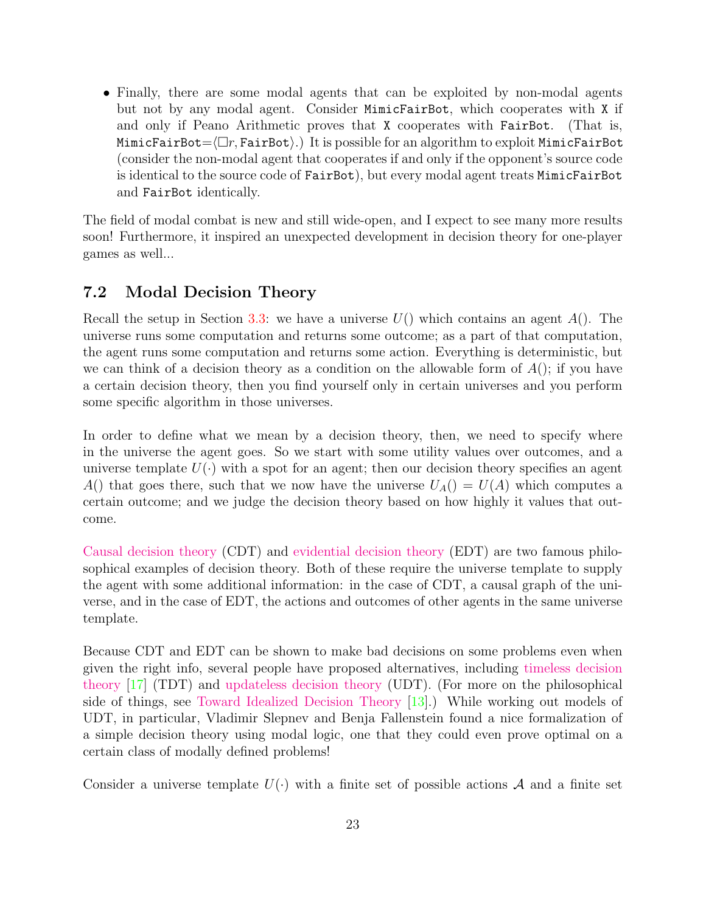• Finally, there are some modal agents that can be exploited by non-modal agents but not by any modal agent. Consider MimicFairBot, which cooperates with X if and only if Peano Arithmetic proves that X cooperates with FairBot. (That is, MimicFairBot= $\langle \Box r, \text{FairBot}\rangle$ .) It is possible for an algorithm to exploit MimicFairBot (consider the non-modal agent that cooperates if and only if the opponent's source code is identical to the source code of FairBot), but every modal agent treats MimicFairBot and FairBot identically.

The field of modal combat is new and still wide-open, and I expect to see many more results soon! Furthermore, it inspired an unexpected development in decision theory for one-player games as well...

#### <span id="page-22-0"></span>7.2 Modal Decision Theory

Recall the setup in Section [3.3:](#page-7-0) we have a universe  $U($ ) which contains an agent  $A()$ . The universe runs some computation and returns some outcome; as a part of that computation, the agent runs some computation and returns some action. Everything is deterministic, but we can think of a decision theory as a condition on the allowable form of  $A()$ ; if you have a certain decision theory, then you find yourself only in certain universes and you perform some specific algorithm in those universes.

In order to define what we mean by a decision theory, then, we need to specify where in the universe the agent goes. So we start with some utility values over outcomes, and a universe template  $U(\cdot)$  with a spot for an agent; then our decision theory specifies an agent A() that goes there, such that we now have the universe  $U_A() = U(A)$  which computes a certain outcome; and we judge the decision theory based on how highly it values that outcome.

[Causal decision theory](http://en.wikipedia.org/wiki/Causal_decision_theory) (CDT) and [evidential decision theory](http://en.wikipedia.org/wiki/Evidential_decision_theory) (EDT) are two famous philosophical examples of decision theory. Both of these require the universe template to supply the agent with some additional information: in the case of CDT, a causal graph of the universe, and in the case of EDT, the actions and outcomes of other agents in the same universe template.

Because CDT and EDT can be shown to make bad decisions on some problems even when given the right info, several people have proposed alternatives, including [timeless decision](https://intelligence.org/files/TDT.pdf) [theory](https://intelligence.org/files/TDT.pdf) [\[17\]](#page-26-3) (TDT) and [updateless decision theory](http://wiki.lesswrong.com/wiki/Updateless_decision_theory) (UDT). (For more on the philosophical side of things, see [Toward Idealized Decision Theory](https://intelligence.org/files/TowardIdealizedDecisionTheory.pdf) [\[13\]](#page-25-12).) While working out models of UDT, in particular, Vladimir Slepnev and Benja Fallenstein found a nice formalization of a simple decision theory using modal logic, one that they could even prove optimal on a certain class of modally defined problems!

Consider a universe template  $U(\cdot)$  with a finite set of possible actions A and a finite set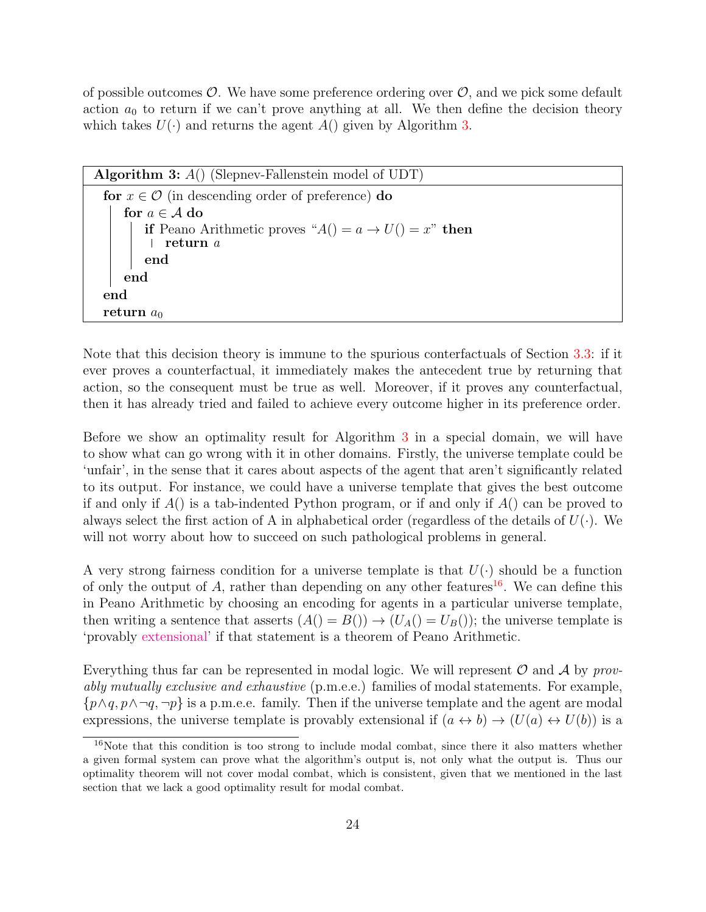of possible outcomes  $\mathcal{O}$ . We have some preference ordering over  $\mathcal{O}$ , and we pick some default action  $a_0$  to return if we can't prove anything at all. We then define the decision theory which takes  $U(\cdot)$  and returns the agent  $A()$  given by Algorithm [3.](#page-23-0)

<span id="page-23-0"></span>

| <b>Algorithm 3:</b> $A()$ (Slepnev-Fallenstein model of UDT)                    |  |  |  |  |  |  |
|---------------------------------------------------------------------------------|--|--|--|--|--|--|
| for $x \in \mathcal{O}$ (in descending order of preference) do                  |  |  |  |  |  |  |
| for $a \in \mathcal{A}$ do                                                      |  |  |  |  |  |  |
| <b>if</b> Peano Arithmetic proves " $A() = a \rightarrow U() = x$ " <b>then</b> |  |  |  |  |  |  |
| $\perp$ return a                                                                |  |  |  |  |  |  |
| end                                                                             |  |  |  |  |  |  |
| end                                                                             |  |  |  |  |  |  |
| end                                                                             |  |  |  |  |  |  |
| return $a_0$                                                                    |  |  |  |  |  |  |
|                                                                                 |  |  |  |  |  |  |

Note that this decision theory is immune to the spurious conterfactuals of Section [3.3:](#page-7-0) if it ever proves a counterfactual, it immediately makes the antecedent true by returning that action, so the consequent must be true as well. Moreover, if it proves any counterfactual, then it has already tried and failed to achieve every outcome higher in its preference order.

Before we show an optimality result for Algorithm [3](#page-23-0) in a special domain, we will have to show what can go wrong with it in other domains. Firstly, the universe template could be 'unfair', in the sense that it cares about aspects of the agent that aren't significantly related to its output. For instance, we could have a universe template that gives the best outcome if and only if  $A()$  is a tab-indented Python program, or if and only if  $A()$  can be proved to always select the first action of A in alphabetical order (regardless of the details of  $U(\cdot)$ ). We will not worry about how to succeed on such pathological problems in general.

A very strong fairness condition for a universe template is that  $U(\cdot)$  should be a function of only the output of A, rather than depending on any other features<sup>[16](#page-23-1)</sup>. We can define this in Peano Arithmetic by choosing an encoding for agents in a particular universe template, then writing a sentence that asserts  $(A() = B()) \rightarrow (U_A() = U_B())$ ; the universe template is 'provably [extensional'](http://en.wikipedia.org/wiki/Extensionality) if that statement is a theorem of Peano Arithmetic.

Everything thus far can be represented in modal logic. We will represent  $\mathcal O$  and  $\mathcal A$  by provably mutually exclusive and exhaustive (p.m.e.e.) families of modal statements. For example,  $\{p \land q, p \land \neg q, \neg p\}$  is a p.m.e.e. family. Then if the universe template and the agent are modal expressions, the universe template is provably extensional if  $(a \leftrightarrow b) \rightarrow (U(a) \leftrightarrow U(b))$  is a

<span id="page-23-1"></span><sup>&</sup>lt;sup>16</sup>Note that this condition is too strong to include modal combat, since there it also matters whether a given formal system can prove what the algorithm's output is, not only what the output is. Thus our optimality theorem will not cover modal combat, which is consistent, given that we mentioned in the last section that we lack a good optimality result for modal combat.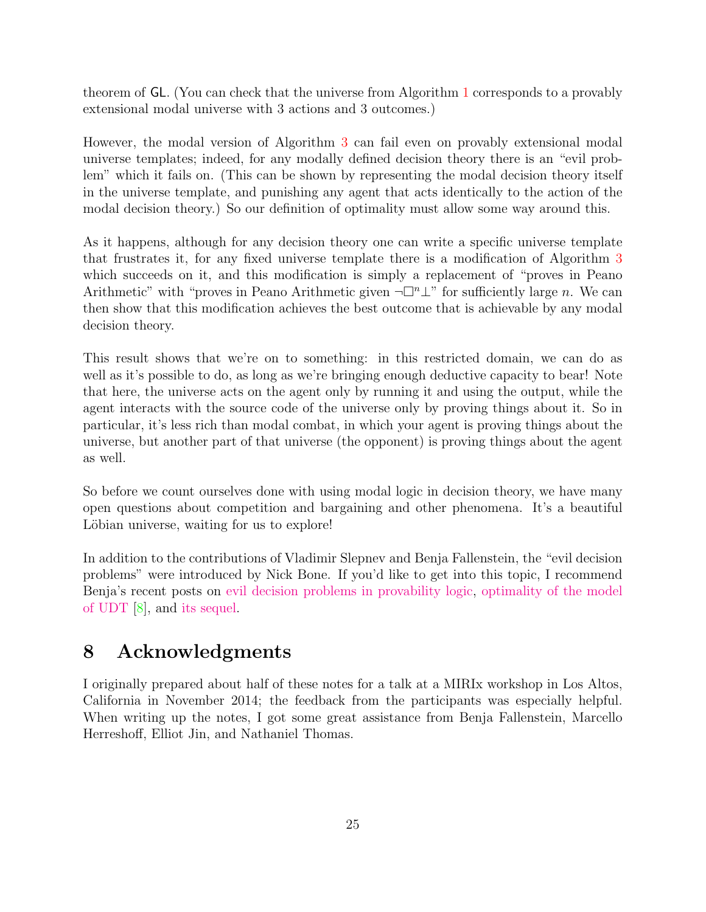theorem of GL. (You can check that the universe from Algorithm [1](#page-7-1) corresponds to a provably extensional modal universe with 3 actions and 3 outcomes.)

However, the modal version of Algorithm [3](#page-23-0) can fail even on provably extensional modal universe templates; indeed, for any modally defined decision theory there is an "evil problem" which it fails on. (This can be shown by representing the modal decision theory itself in the universe template, and punishing any agent that acts identically to the action of the modal decision theory.) So our definition of optimality must allow some way around this.

As it happens, although for any decision theory one can write a specific universe template that frustrates it, for any fixed universe template there is a modification of Algorithm [3](#page-23-0) which succeeds on it, and this modification is simply a replacement of "proves in Peano Arithmetic" with "proves in Peano Arithmetic given  $\neg \Box^n \bot$ " for sufficiently large n. We can then show that this modification achieves the best outcome that is achievable by any modal decision theory.

This result shows that we're on to something: in this restricted domain, we can do as well as it's possible to do, as long as we're bringing enough deductive capacity to bear! Note that here, the universe acts on the agent only by running it and using the output, while the agent interacts with the source code of the universe only by proving things about it. So in particular, it's less rich than modal combat, in which your agent is proving things about the universe, but another part of that universe (the opponent) is proving things about the agent as well.

So before we count ourselves done with using modal logic in decision theory, we have many open questions about competition and bargaining and other phenomena. It's a beautiful Löbian universe, waiting for us to explore!

In addition to the contributions of Vladimir Slepnev and Benja Fallenstein, the "evil decision problems" were introduced by Nick Bone. If you'd like to get into this topic, I recommend Benja's recent posts on [evil decision problems in provability logic,](http://forum.intelligence.org/item?id=47) [optimality of the model](http://forum.intelligence.org/item?id=50) [of UDT](http://forum.intelligence.org/item?id=50) [\[8\]](#page-25-13), and [its sequel.](http://forum.intelligence.org/item?id=76)

## <span id="page-24-0"></span>8 Acknowledgments

I originally prepared about half of these notes for a talk at a MIRIx workshop in Los Altos, California in November 2014; the feedback from the participants was especially helpful. When writing up the notes, I got some great assistance from Benja Fallenstein, Marcello Herreshoff, Elliot Jin, and Nathaniel Thomas.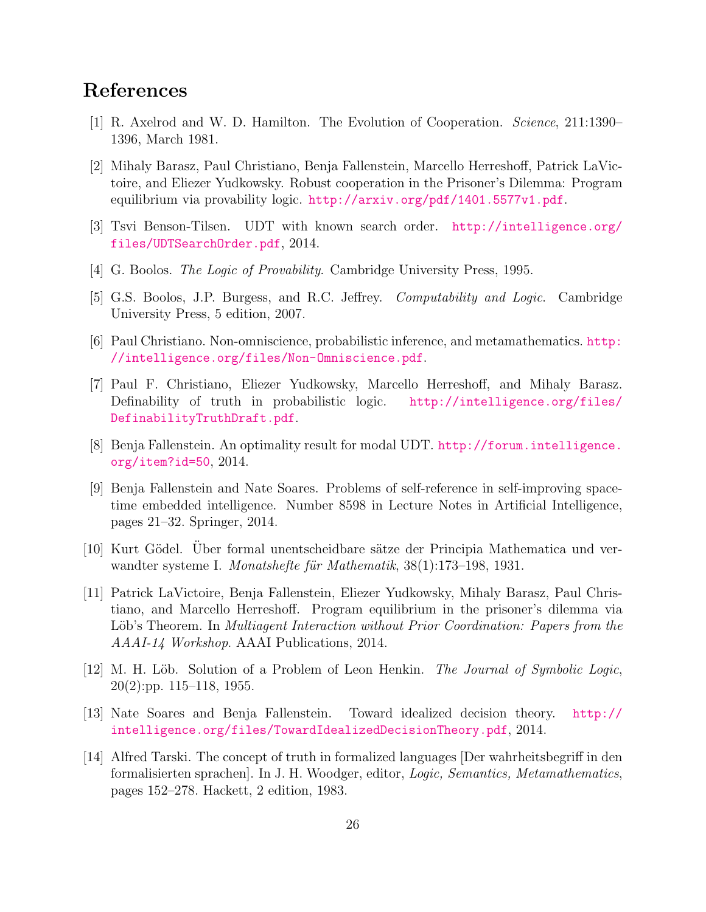## References

- <span id="page-25-4"></span>[1] R. Axelrod and W. D. Hamilton. The Evolution of Cooperation. Science, 211:1390– 1396, March 1981.
- <span id="page-25-11"></span>[2] Mihaly Barasz, Paul Christiano, Benja Fallenstein, Marcello Herreshoff, Patrick LaVictoire, and Eliezer Yudkowsky. Robust cooperation in the Prisoner's Dilemma: Program equilibrium via provability logic. <http://arxiv.org/pdf/1401.5577v1.pdf>.
- <span id="page-25-6"></span>[3] Tsvi Benson-Tilsen. UDT with known search order. [http://intelligence.org/](http://intelligence.org/files/UDTSearchOrder.pdf) [files/UDTSearchOrder.pdf](http://intelligence.org/files/UDTSearchOrder.pdf), 2014.
- <span id="page-25-10"></span>[4] G. Boolos. The Logic of Provability. Cambridge University Press, 1995.
- <span id="page-25-2"></span>[5] G.S. Boolos, J.P. Burgess, and R.C. Jeffrey. Computability and Logic. Cambridge University Press, 5 edition, 2007.
- <span id="page-25-9"></span>[6] Paul Christiano. Non-omniscience, probabilistic inference, and metamathematics. [http:](http://intelligence.org/files/Non-Omniscience.pdf) [//intelligence.org/files/Non-Omniscience.pdf](http://intelligence.org/files/Non-Omniscience.pdf).
- <span id="page-25-7"></span>[7] Paul F. Christiano, Eliezer Yudkowsky, Marcello Herreshoff, and Mihaly Barasz. Definability of truth in probabilistic logic. [http://intelligence.org/files/](http://intelligence.org/files/DefinabilityTruthDraft.pdf) [DefinabilityTruthDraft.pdf](http://intelligence.org/files/DefinabilityTruthDraft.pdf).
- <span id="page-25-13"></span>[8] Benja Fallenstein. An optimality result for modal UDT. [http://forum.intelligence.](http://forum.intelligence.org/item?id=50) [org/item?id=50](http://forum.intelligence.org/item?id=50), 2014.
- <span id="page-25-3"></span>[9] Benja Fallenstein and Nate Soares. Problems of self-reference in self-improving spacetime embedded intelligence. Number 8598 in Lecture Notes in Artificial Intelligence, pages 21–32. Springer, 2014.
- <span id="page-25-1"></span>[10] Kurt Gödel. Uber formal unentscheidbare sätze der Principia Mathematica und verwandter systeme I. Monatshefte für Mathematik, 38(1):173–198, 1931.
- <span id="page-25-5"></span>[11] Patrick LaVictoire, Benja Fallenstein, Eliezer Yudkowsky, Mihaly Barasz, Paul Christiano, and Marcello Herreshoff. Program equilibrium in the prisoner's dilemma via Löb's Theorem. In *Multiagent Interaction without Prior Coordination: Papers from the* AAAI-14 Workshop. AAAI Publications, 2014.
- <span id="page-25-0"></span>[12] M. H. Löb. Solution of a Problem of Leon Henkin. *The Journal of Symbolic Logic*, 20(2):pp. 115–118, 1955.
- <span id="page-25-12"></span>[13] Nate Soares and Benja Fallenstein. Toward idealized decision theory. [http://](http://intelligence.org/files/TowardIdealizedDecisionTheory.pdf) [intelligence.org/files/TowardIdealizedDecisionTheory.pdf](http://intelligence.org/files/TowardIdealizedDecisionTheory.pdf), 2014.
- <span id="page-25-8"></span>[14] Alfred Tarski. The concept of truth in formalized languages [Der wahrheitsbegriff in den formalisierten sprachen]. In J. H. Woodger, editor, Logic, Semantics, Metamathematics, pages 152–278. Hackett, 2 edition, 1983.